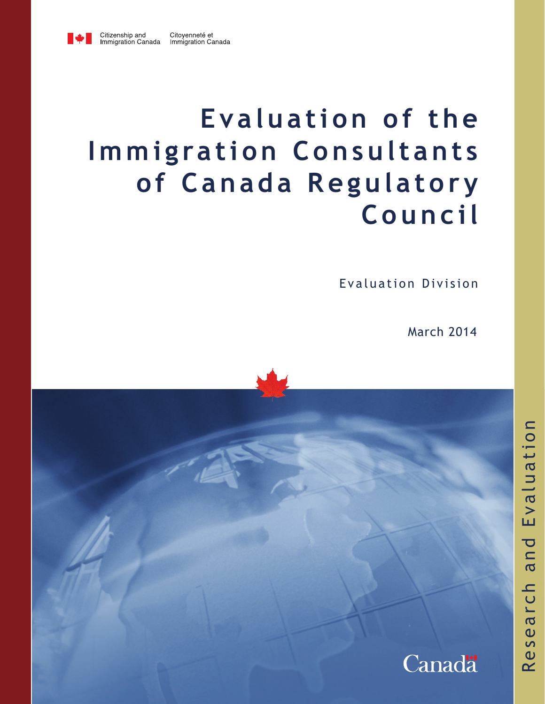

# **Evaluation of the Immigration Consultants of Canada Regulatory Council**

Evaluation Division

March 2014

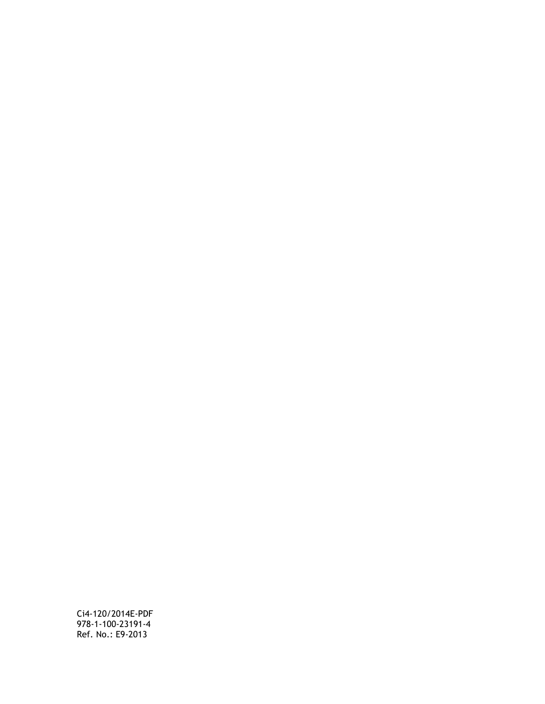Ci4-120/2014E-PDF 978-1-100-23191-4 Ref. No.: E9-2013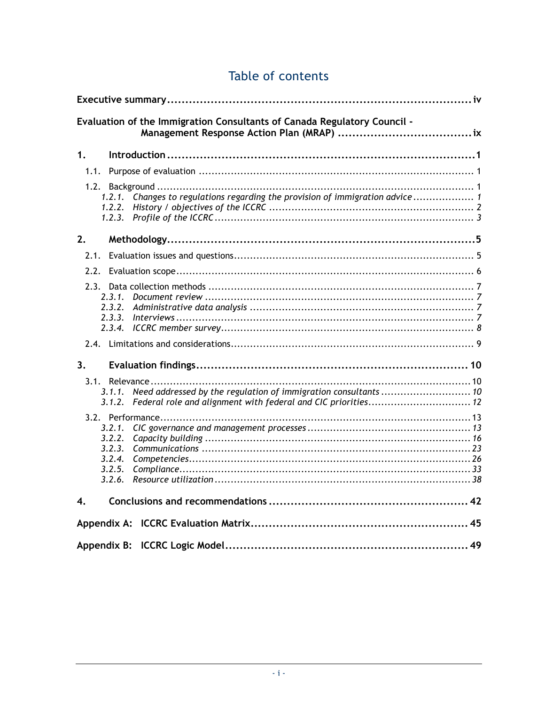| Evaluation of the Immigration Consultants of Canada Regulatory Council -                            |
|-----------------------------------------------------------------------------------------------------|
|                                                                                                     |
| 1.                                                                                                  |
|                                                                                                     |
| 1.2.1. Changes to regulations regarding the provision of immigration advice 1<br>1.2.2.<br>1, 2, 3, |
| 2.                                                                                                  |
| 2.1.                                                                                                |
|                                                                                                     |
| 2.3.1.<br>2.3.4.                                                                                    |
|                                                                                                     |
| 3.                                                                                                  |
| 3.1.1.<br>3.1.2.                                                                                    |
| 3.2.1.<br>3.2.2.<br>3.2.3.<br>3.2.4.<br>3.2.5.<br>3.2.6.                                            |
| $\overline{4}$ .                                                                                    |
|                                                                                                     |
|                                                                                                     |

### Table of contents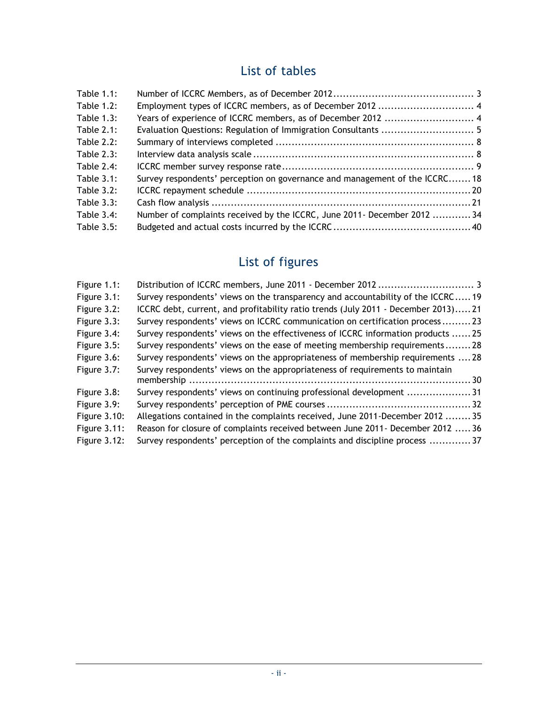### List of tables

| <b>Table 1.1:</b> |                                                                            |  |
|-------------------|----------------------------------------------------------------------------|--|
| <b>Table 1.2:</b> |                                                                            |  |
| Table $1.3$ :     |                                                                            |  |
| Table $2.1$ :     |                                                                            |  |
| Table $2.2$ :     |                                                                            |  |
| <b>Table 2.3:</b> |                                                                            |  |
| Table 2.4:        |                                                                            |  |
| Table $3.1$ :     | Survey respondents' perception on governance and management of the ICCRC18 |  |
| <b>Table 3.2:</b> |                                                                            |  |
| Table $3.3$ :     |                                                                            |  |
| Table 3.4:        | Number of complaints received by the ICCRC, June 2011 - December 2012  34  |  |
| Table 3.5:        |                                                                            |  |

## List of figures

| Figure 1.1:         |                                                                                   |  |
|---------------------|-----------------------------------------------------------------------------------|--|
| Figure 3.1:         | Survey respondents' views on the transparency and accountability of the ICCRC19   |  |
| Figure 3.2:         | ICCRC debt, current, and profitability ratio trends (July 2011 - December 2013)21 |  |
| Figure 3.3:         | Survey respondents' views on ICCRC communication on certification process23       |  |
| Figure 3.4:         | Survey respondents' views on the effectiveness of ICCRC information products 25   |  |
| Figure 3.5:         | Survey respondents' views on the ease of meeting membership requirements28        |  |
| Figure 3.6:         | Survey respondents' views on the appropriateness of membership requirements  28   |  |
| Figure 3.7:         | Survey respondents' views on the appropriateness of requirements to maintain      |  |
|                     |                                                                                   |  |
| Figure 3.8:         | Survey respondents' views on continuing professional development 31               |  |
| Figure 3.9:         |                                                                                   |  |
| Figure 3.10:        | Allegations contained in the complaints received, June 2011-December 2012  35     |  |
| Figure 3.11:        | Reason for closure of complaints received between June 2011 - December 2012  36   |  |
| <b>Figure 3.12:</b> | Survey respondents' perception of the complaints and discipline process 37        |  |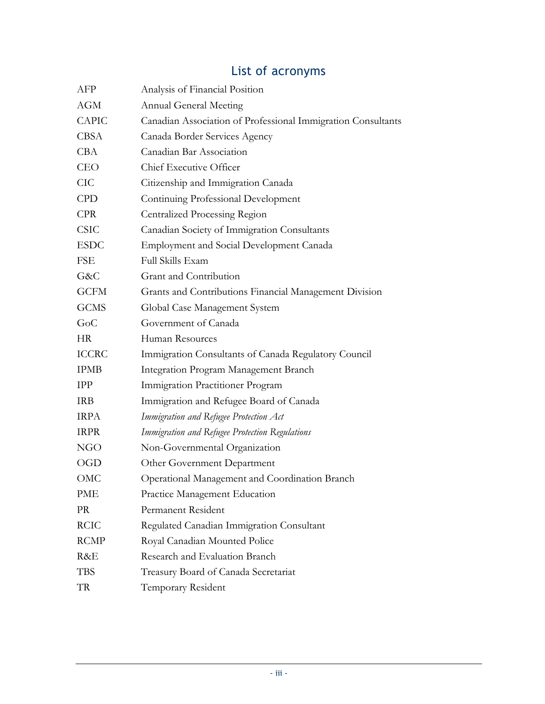| AFP          | Analysis of Financial Position                               |
|--------------|--------------------------------------------------------------|
| <b>AGM</b>   | <b>Annual General Meeting</b>                                |
| <b>CAPIC</b> | Canadian Association of Professional Immigration Consultants |
| <b>CBSA</b>  | Canada Border Services Agency                                |
| <b>CBA</b>   | Canadian Bar Association                                     |
| <b>CEO</b>   | Chief Executive Officer                                      |
| <b>CIC</b>   | Citizenship and Immigration Canada                           |
| <b>CPD</b>   | Continuing Professional Development                          |
| <b>CPR</b>   | <b>Centralized Processing Region</b>                         |
| <b>CSIC</b>  | Canadian Society of Immigration Consultants                  |
| <b>ESDC</b>  | <b>Employment and Social Development Canada</b>              |
| FSE          | Full Skills Exam                                             |
| G&C          | Grant and Contribution                                       |
| <b>GCFM</b>  | Grants and Contributions Financial Management Division       |
| <b>GCMS</b>  | Global Case Management System                                |
| GoC          | Government of Canada                                         |
| <b>HR</b>    | Human Resources                                              |
| <b>ICCRC</b> | Immigration Consultants of Canada Regulatory Council         |
| <b>IPMB</b>  | Integration Program Management Branch                        |
| <b>IPP</b>   | Immigration Practitioner Program                             |
| <b>IRB</b>   | Immigration and Refugee Board of Canada                      |
| <b>IRPA</b>  | Immigration and Refugee Protection Act                       |
| <b>IRPR</b>  | Immigration and Refugee Protection Regulations               |
| <b>NGO</b>   | Non-Governmental Organization                                |
| <b>OGD</b>   | Other Government Department                                  |
| OMC          | Operational Management and Coordination Branch               |
| PME          | Practice Management Education                                |
| PR           | Permanent Resident                                           |
| <b>RCIC</b>  | Regulated Canadian Immigration Consultant                    |
| <b>RCMP</b>  | Royal Canadian Mounted Police                                |
| R&E          | Research and Evaluation Branch                               |
| <b>TBS</b>   | Treasury Board of Canada Secretariat                         |
| TR           | Temporary Resident                                           |
|              |                                                              |

## List of acronyms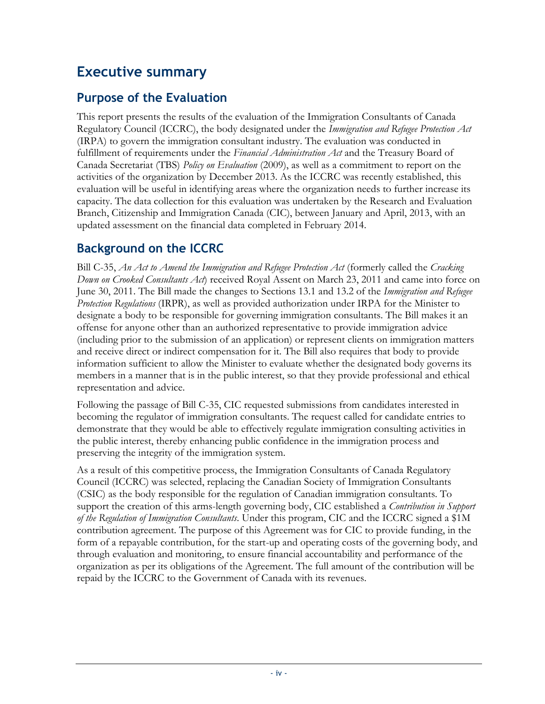### <span id="page-5-0"></span>**Executive summary**

### **Purpose of the Evaluation**

This report presents the results of the evaluation of the Immigration Consultants of Canada Regulatory Council (ICCRC), the body designated under the *Immigration and Refugee Protection Act* (IRPA) to govern the immigration consultant industry. The evaluation was conducted in fulfillment of requirements under the *Financial Administration Act* and the Treasury Board of Canada Secretariat (TBS) *Policy on Evaluation* (2009), as well as a commitment to report on the activities of the organization by December 2013. As the ICCRC was recently established, this evaluation will be useful in identifying areas where the organization needs to further increase its capacity. The data collection for this evaluation was undertaken by the Research and Evaluation Branch, Citizenship and Immigration Canada (CIC), between January and April, 2013, with an updated assessment on the financial data completed in February 2014.

### **Background on the ICCRC**

Bill C-35, *An Act to Amend the Immigration and Refugee Protection Act* (formerly called the *Cracking Down on Crooked Consultants Act*) received Royal Assent on March 23, 2011 and came into force on June 30, 2011. The Bill made the changes to Sections 13.1 and 13.2 of the *Immigration and Refugee Protection Regulations* (IRPR), as well as provided authorization under IRPA for the Minister to designate a body to be responsible for governing immigration consultants. The Bill makes it an offense for anyone other than an authorized representative to provide immigration advice (including prior to the submission of an application) or represent clients on immigration matters and receive direct or indirect compensation for it. The Bill also requires that body to provide information sufficient to allow the Minister to evaluate whether the designated body governs its members in a manner that is in the public interest, so that they provide professional and ethical representation and advice.

Following the passage of Bill C-35, CIC requested submissions from candidates interested in becoming the regulator of immigration consultants. The request called for candidate entries to demonstrate that they would be able to effectively regulate immigration consulting activities in the public interest, thereby enhancing public confidence in the immigration process and preserving the integrity of the immigration system.

As a result of this competitive process, the Immigration Consultants of Canada Regulatory Council (ICCRC) was selected, replacing the Canadian Society of Immigration Consultants (CSIC) as the body responsible for the regulation of Canadian immigration consultants. To support the creation of this arms-length governing body, CIC established a *Contribution in Support of the Regulation of Immigration Consultants*. Under this program, CIC and the ICCRC signed a \$1M contribution agreement. The purpose of this Agreement was for CIC to provide funding, in the form of a repayable contribution, for the start-up and operating costs of the governing body, and through evaluation and monitoring, to ensure financial accountability and performance of the organization as per its obligations of the Agreement. The full amount of the contribution will be repaid by the ICCRC to the Government of Canada with its revenues.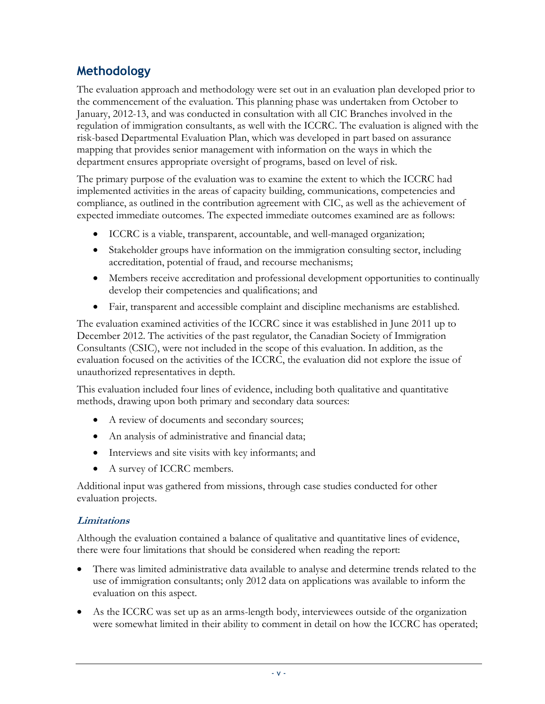### **Methodology**

The evaluation approach and methodology were set out in an evaluation plan developed prior to the commencement of the evaluation. This planning phase was undertaken from October to January, 2012-13, and was conducted in consultation with all CIC Branches involved in the regulation of immigration consultants, as well with the ICCRC. The evaluation is aligned with the risk-based Departmental Evaluation Plan, which was developed in part based on assurance mapping that provides senior management with information on the ways in which the department ensures appropriate oversight of programs, based on level of risk.

The primary purpose of the evaluation was to examine the extent to which the ICCRC had implemented activities in the areas of capacity building, communications, competencies and compliance, as outlined in the contribution agreement with CIC, as well as the achievement of expected immediate outcomes. The expected immediate outcomes examined are as follows:

- ICCRC is a viable, transparent, accountable, and well-managed organization;
- Stakeholder groups have information on the immigration consulting sector, including accreditation, potential of fraud, and recourse mechanisms;
- Members receive accreditation and professional development opportunities to continually develop their competencies and qualifications; and
- Fair, transparent and accessible complaint and discipline mechanisms are established.

The evaluation examined activities of the ICCRC since it was established in June 2011 up to December 2012. The activities of the past regulator, the Canadian Society of Immigration Consultants (CSIC), were not included in the scope of this evaluation. In addition, as the evaluation focused on the activities of the ICCRC, the evaluation did not explore the issue of unauthorized representatives in depth.

This evaluation included four lines of evidence, including both qualitative and quantitative methods, drawing upon both primary and secondary data sources:

- A review of documents and secondary sources;
- An analysis of administrative and financial data;
- Interviews and site visits with key informants; and
- A survey of ICCRC members.

Additional input was gathered from missions, through case studies conducted for other evaluation projects.

#### **Limitations**

Although the evaluation contained a balance of qualitative and quantitative lines of evidence, there were four limitations that should be considered when reading the report:

- There was limited administrative data available to analyse and determine trends related to the use of immigration consultants; only 2012 data on applications was available to inform the evaluation on this aspect.
- As the ICCRC was set up as an arms-length body, interviewees outside of the organization were somewhat limited in their ability to comment in detail on how the ICCRC has operated;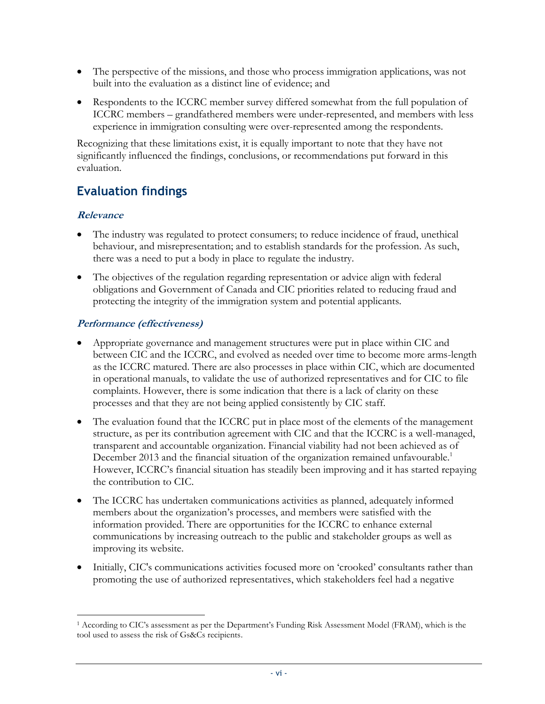- The perspective of the missions, and those who process immigration applications, was not built into the evaluation as a distinct line of evidence; and
- Respondents to the ICCRC member survey differed somewhat from the full population of ICCRC members – grandfathered members were under-represented, and members with less experience in immigration consulting were over-represented among the respondents.

Recognizing that these limitations exist, it is equally important to note that they have not significantly influenced the findings, conclusions, or recommendations put forward in this evaluation.

### **Evaluation findings**

#### **Relevance**

 $\overline{a}$ 

- The industry was regulated to protect consumers; to reduce incidence of fraud, unethical behaviour, and misrepresentation; and to establish standards for the profession. As such, there was a need to put a body in place to regulate the industry.
- The objectives of the regulation regarding representation or advice align with federal obligations and Government of Canada and CIC priorities related to reducing fraud and protecting the integrity of the immigration system and potential applicants.

#### **Performance (effectiveness)**

- Appropriate governance and management structures were put in place within CIC and between CIC and the ICCRC, and evolved as needed over time to become more arms-length as the ICCRC matured. There are also processes in place within CIC, which are documented in operational manuals, to validate the use of authorized representatives and for CIC to file complaints. However, there is some indication that there is a lack of clarity on these processes and that they are not being applied consistently by CIC staff.
- The evaluation found that the ICCRC put in place most of the elements of the management structure, as per its contribution agreement with CIC and that the ICCRC is a well-managed, transparent and accountable organization. Financial viability had not been achieved as of December 2013 and the financial situation of the organization remained unfavourable.<sup>1</sup> However, ICCRC's financial situation has steadily been improving and it has started repaying the contribution to CIC.
- The ICCRC has undertaken communications activities as planned, adequately informed members about the organization's processes, and members were satisfied with the information provided. There are opportunities for the ICCRC to enhance external communications by increasing outreach to the public and stakeholder groups as well as improving its website.
- Initially, CIC's communications activities focused more on 'crooked' consultants rather than promoting the use of authorized representatives, which stakeholders feel had a negative

<sup>1</sup> According to CIC's assessment as per the Department's Funding Risk Assessment Model (FRAM), which is the tool used to assess the risk of Gs&Cs recipients.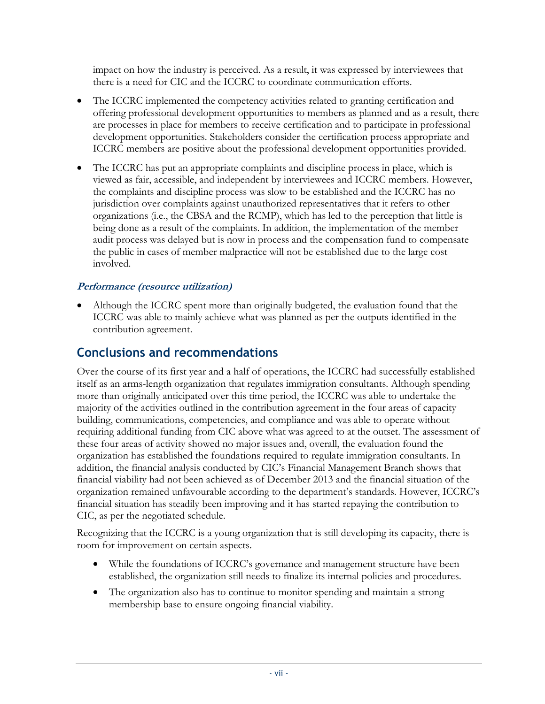impact on how the industry is perceived. As a result, it was expressed by interviewees that there is a need for CIC and the ICCRC to coordinate communication efforts.

- The ICCRC implemented the competency activities related to granting certification and offering professional development opportunities to members as planned and as a result, there are processes in place for members to receive certification and to participate in professional development opportunities. Stakeholders consider the certification process appropriate and ICCRC members are positive about the professional development opportunities provided.
- The ICCRC has put an appropriate complaints and discipline process in place, which is viewed as fair, accessible, and independent by interviewees and ICCRC members. However, the complaints and discipline process was slow to be established and the ICCRC has no jurisdiction over complaints against unauthorized representatives that it refers to other organizations (i.e., the CBSA and the RCMP), which has led to the perception that little is being done as a result of the complaints. In addition, the implementation of the member audit process was delayed but is now in process and the compensation fund to compensate the public in cases of member malpractice will not be established due to the large cost involved.

#### **Performance (resource utilization)**

 Although the ICCRC spent more than originally budgeted, the evaluation found that the ICCRC was able to mainly achieve what was planned as per the outputs identified in the contribution agreement.

### **Conclusions and recommendations**

Over the course of its first year and a half of operations, the ICCRC had successfully established itself as an arms-length organization that regulates immigration consultants. Although spending more than originally anticipated over this time period, the ICCRC was able to undertake the majority of the activities outlined in the contribution agreement in the four areas of capacity building, communications, competencies, and compliance and was able to operate without requiring additional funding from CIC above what was agreed to at the outset. The assessment of these four areas of activity showed no major issues and, overall, the evaluation found the organization has established the foundations required to regulate immigration consultants. In addition, the financial analysis conducted by CIC's Financial Management Branch shows that financial viability had not been achieved as of December 2013 and the financial situation of the organization remained unfavourable according to the department's standards. However, ICCRC's financial situation has steadily been improving and it has started repaying the contribution to CIC, as per the negotiated schedule.

Recognizing that the ICCRC is a young organization that is still developing its capacity, there is room for improvement on certain aspects.

- While the foundations of ICCRC's governance and management structure have been established, the organization still needs to finalize its internal policies and procedures.
- The organization also has to continue to monitor spending and maintain a strong membership base to ensure ongoing financial viability.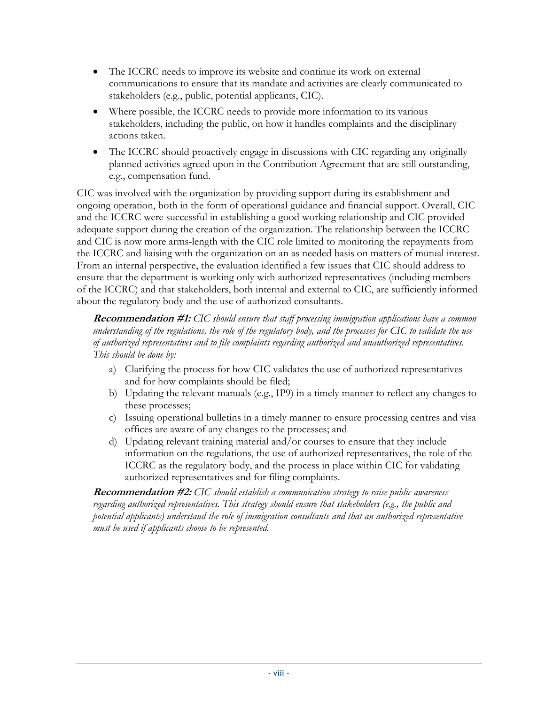- The ICCRC needs to improve its website and continue its work on external communications to ensure that its mandate and activities are clearly communicated to stakeholders (e.g., public, potential applicants, CIC).
- Where possible, the ICCRC needs to provide more information to its various stakeholders, including the public, on how it handles complaints and the disciplinary actions taken.
- The ICCRC should proactively engage in discussions with CIC regarding any originally planned activities agreed upon in the Contribution Agreement that are still outstanding, e.g., compensation fund.

CIC was involved with the organization by providing support during its establishment and ongoing operation, both in the form of operational guidance and financial support. Overall, CIC and the ICCRC were successful in establishing a good working relationship and CIC provided adequate support during the creation of the organization. The relationship between the ICCRC and CIC is now more arms-length with the CIC role limited to monitoring the repayments from the ICCRC and liaising with the organization on an as needed basis on matters of mutual interest. From an internal perspective, the evaluation identified a few issues that CIC should address to ensure that the department is working only with authorized representatives (including members of the ICCRC) and that stakeholders, both internal and external to CIC, are sufficiently informed about the regulatory body and the use of authorized consultants.

**Recommendation #1:** *CIC should ensure that staff processing immigration applications have a common understanding of the regulations, the role of the regulatory body, and the processes for CIC to validate the use of authorized representatives and to file complaints regarding authorized and unauthorized representatives. This should be done by:* 

- a) Clarifying the process for how CIC validates the use of authorized representatives and for how complaints should be filed;
- b) Updating the relevant manuals (e.g., IP9) in a timely manner to reflect any changes to these processes;
- c) Issuing operational bulletins in a timely manner to ensure processing centres and visa offices are aware of any changes to the processes; and
- d) Updating relevant training material and/or courses to ensure that they include information on the regulations, the use of authorized representatives, the role of the ICCRC as the regulatory body, and the process in place within CIC for validating authorized representatives and for filing complaints.

**Recommendation #2:** *CIC should establish a communication strategy to raise public awareness regarding authorized representatives. This strategy should ensure that stakeholders (e.g., the public and potential applicants) understand the role of immigration consultants and that an authorized representative must be used if applicants choose to be represented.*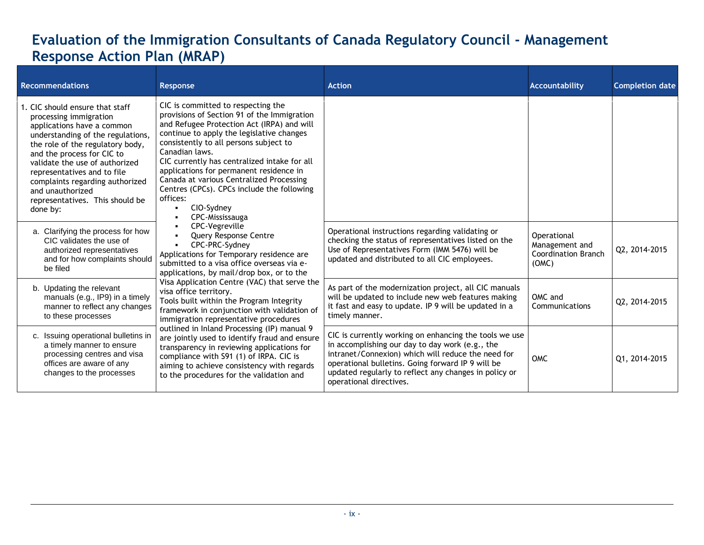### **Evaluation of the Immigration Consultants of Canada Regulatory Council - Management Response Action Plan (MRAP)**

<span id="page-10-0"></span>

| <b>Recommendations</b>                                                                                                                                                                                                                                                                                                                                                | Response                                                                                                                                                                                                                                                                                                                                                                                                                                                                   | <b>Action</b>                                                                                                                                                                                                                                                                                            | Accountability                                                       | <b>Completion date</b> |
|-----------------------------------------------------------------------------------------------------------------------------------------------------------------------------------------------------------------------------------------------------------------------------------------------------------------------------------------------------------------------|----------------------------------------------------------------------------------------------------------------------------------------------------------------------------------------------------------------------------------------------------------------------------------------------------------------------------------------------------------------------------------------------------------------------------------------------------------------------------|----------------------------------------------------------------------------------------------------------------------------------------------------------------------------------------------------------------------------------------------------------------------------------------------------------|----------------------------------------------------------------------|------------------------|
| 1. CIC should ensure that staff<br>processing immigration<br>applications have a common<br>understanding of the regulations,<br>the role of the regulatory body,<br>and the process for CIC to<br>validate the use of authorized<br>representatives and to file<br>complaints regarding authorized<br>and unauthorized<br>representatives. This should be<br>done by: | CIC is committed to respecting the<br>provisions of Section 91 of the Immigration<br>and Refugee Protection Act (IRPA) and will<br>continue to apply the legislative changes<br>consistently to all persons subject to<br>Canadian laws.<br>CIC currently has centralized intake for all<br>applications for permanent residence in<br>Canada at various Centralized Processing<br>Centres (CPCs). CPCs include the following<br>offices:<br>CIO-Sydney<br>CPC-Mississauga |                                                                                                                                                                                                                                                                                                          |                                                                      |                        |
| a. Clarifying the process for how<br>CIC validates the use of<br>authorized representatives<br>and for how complaints should<br>be filed                                                                                                                                                                                                                              | <b>CPC-Vegreville</b><br>Query Response Centre<br>CPC-PRC-Sydney<br>Applications for Temporary residence are<br>submitted to a visa office overseas via e-<br>applications, by mail/drop box, or to the                                                                                                                                                                                                                                                                    | Operational instructions regarding validating or<br>checking the status of representatives listed on the<br>Use of Representatives Form (IMM 5476) will be<br>updated and distributed to all CIC employees.                                                                                              | Operational<br>Management and<br><b>Coordination Branch</b><br>(OMC) | Q2, 2014-2015          |
| b. Updating the relevant<br>manuals (e.g., IP9) in a timely<br>manner to reflect any changes<br>to these processes                                                                                                                                                                                                                                                    | Visa Application Centre (VAC) that serve the<br>visa office territory.<br>Tools built within the Program Integrity<br>framework in conjunction with validation of<br>immigration representative procedures                                                                                                                                                                                                                                                                 | As part of the modernization project, all CIC manuals<br>will be updated to include new web features making<br>it fast and easy to update. IP 9 will be updated in a<br>timely manner.                                                                                                                   | OMC and<br>Communications                                            | Q2, 2014-2015          |
| c. Issuing operational bulletins in<br>a timely manner to ensure<br>processing centres and visa<br>offices are aware of any<br>changes to the processes                                                                                                                                                                                                               | outlined in Inland Processing (IP) manual 9<br>are jointly used to identify fraud and ensure<br>transparency in reviewing applications for<br>compliance with S91 (1) of IRPA. CIC is<br>aiming to achieve consistency with regards<br>to the procedures for the validation and                                                                                                                                                                                            | CIC is currently working on enhancing the tools we use<br>in accomplishing our day to day work (e.g., the<br>intranet/Connexion) which will reduce the need for<br>operational bulletins. Going forward IP 9 will be<br>updated regularly to reflect any changes in policy or<br>operational directives. | <b>OMC</b>                                                           | Q1, 2014-2015          |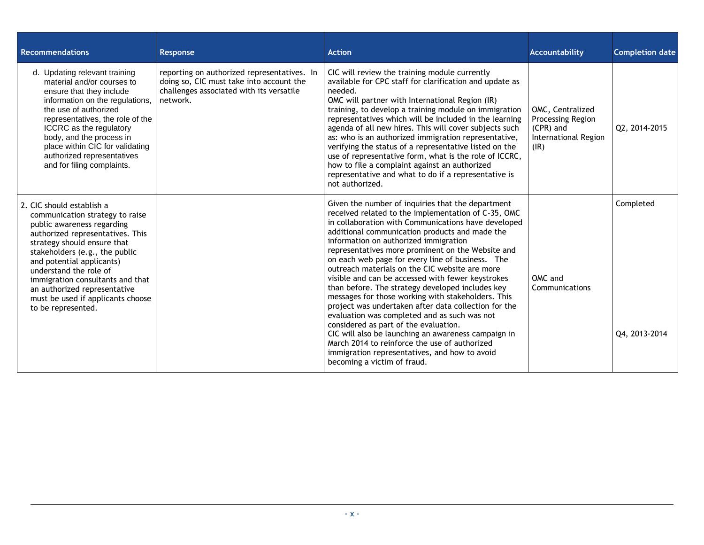| <b>Recommendations</b>                                                                                                                                                                                                                                                                                                                                                                | Response                                                                                                                                        | <b>Action</b>                                                                                                                                                                                                                                                                                                                                                                                                                                                                                                                                                                                                                                                                                                                                                                                                                                                                                                                 | Accountability                                                                            | <b>Completion date</b>     |
|---------------------------------------------------------------------------------------------------------------------------------------------------------------------------------------------------------------------------------------------------------------------------------------------------------------------------------------------------------------------------------------|-------------------------------------------------------------------------------------------------------------------------------------------------|-------------------------------------------------------------------------------------------------------------------------------------------------------------------------------------------------------------------------------------------------------------------------------------------------------------------------------------------------------------------------------------------------------------------------------------------------------------------------------------------------------------------------------------------------------------------------------------------------------------------------------------------------------------------------------------------------------------------------------------------------------------------------------------------------------------------------------------------------------------------------------------------------------------------------------|-------------------------------------------------------------------------------------------|----------------------------|
| d. Updating relevant training<br>material and/or courses to<br>ensure that they include<br>information on the regulations,<br>the use of authorized<br>representatives, the role of the<br>ICCRC as the regulatory<br>body, and the process in<br>place within CIC for validating<br>authorized representatives<br>and for filing complaints.                                         | reporting on authorized representatives. In<br>doing so, CIC must take into account the<br>challenges associated with its versatile<br>network. | CIC will review the training module currently<br>available for CPC staff for clarification and update as<br>needed.<br>OMC will partner with International Region (IR)<br>training, to develop a training module on immigration<br>representatives which will be included in the learning<br>agenda of all new hires. This will cover subjects such<br>as: who is an authorized immigration representative,<br>verifying the status of a representative listed on the<br>use of representative form, what is the role of ICCRC,<br>how to file a complaint against an authorized<br>representative and what to do if a representative is<br>not authorized.                                                                                                                                                                                                                                                                   | OMC, Centralized<br><b>Processing Region</b><br>(CPR) and<br>International Region<br>(IR) | Q2, 2014-2015              |
| 2. CIC should establish a<br>communication strategy to raise<br>public awareness regarding<br>authorized representatives. This<br>strategy should ensure that<br>stakeholders (e.g., the public<br>and potential applicants)<br>understand the role of<br>immigration consultants and that<br>an authorized representative<br>must be used if applicants choose<br>to be represented. |                                                                                                                                                 | Given the number of inquiries that the department<br>received related to the implementation of C-35, OMC<br>in collaboration with Communications have developed<br>additional communication products and made the<br>information on authorized immigration<br>representatives more prominent on the Website and<br>on each web page for every line of business. The<br>outreach materials on the CIC website are more<br>visible and can be accessed with fewer keystrokes<br>than before. The strategy developed includes key<br>messages for those working with stakeholders. This<br>project was undertaken after data collection for the<br>evaluation was completed and as such was not<br>considered as part of the evaluation.<br>CIC will also be launching an awareness campaign in<br>March 2014 to reinforce the use of authorized<br>immigration representatives, and how to avoid<br>becoming a victim of fraud. | OMC and<br>Communications                                                                 | Completed<br>Q4, 2013-2014 |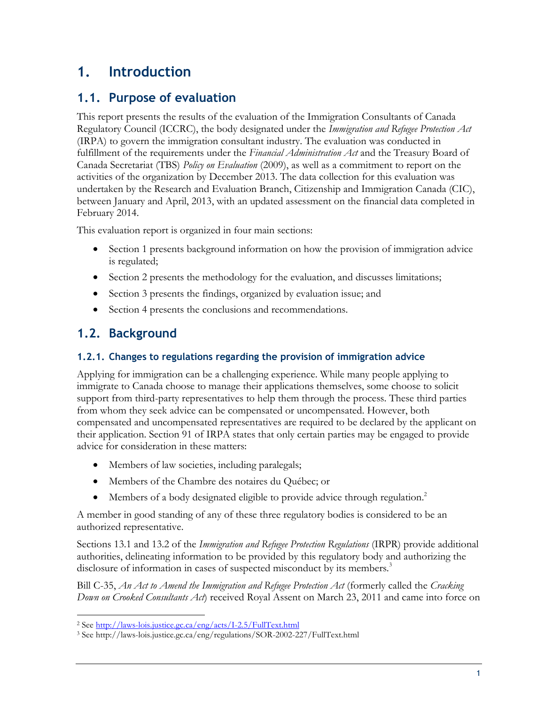### <span id="page-12-0"></span>**1. Introduction**

### <span id="page-12-1"></span>**1.1. Purpose of evaluation**

This report presents the results of the evaluation of the Immigration Consultants of Canada Regulatory Council (ICCRC), the body designated under the *Immigration and Refugee Protection Act* (IRPA) to govern the immigration consultant industry. The evaluation was conducted in fulfillment of the requirements under the *Financial Administration Act* and the Treasury Board of Canada Secretariat (TBS) *Policy on Evaluation* (2009), as well as a commitment to report on the activities of the organization by December 2013. The data collection for this evaluation was undertaken by the Research and Evaluation Branch, Citizenship and Immigration Canada (CIC), between January and April, 2013, with an updated assessment on the financial data completed in February 2014.

This evaluation report is organized in four main sections:

- Section 1 presents background information on how the provision of immigration advice is regulated;
- Section 2 presents the methodology for the evaluation, and discusses limitations;
- Section 3 presents the findings, organized by evaluation issue; and
- Section 4 presents the conclusions and recommendations.

### <span id="page-12-2"></span>**1.2. Background**

 $\overline{a}$ 

#### <span id="page-12-3"></span>**1.2.1. Changes to regulations regarding the provision of immigration advice**

Applying for immigration can be a challenging experience. While many people applying to immigrate to Canada choose to manage their applications themselves, some choose to solicit support from third-party representatives to help them through the process. These third parties from whom they seek advice can be compensated or uncompensated. However, both compensated and uncompensated representatives are required to be declared by the applicant on their application. Section 91 of IRPA states that only certain parties may be engaged to provide advice for consideration in these matters:

- Members of law societies, including paralegals;
- Members of the Chambre des notaires du Québec; or
- Members of a body designated eligible to provide advice through regulation.<sup>2</sup>

A member in good standing of any of these three regulatory bodies is considered to be an authorized representative.

Sections 13.1 and 13.2 of the *Immigration and Refugee Protection Regulations* (IRPR) provide additional authorities, delineating information to be provided by this regulatory body and authorizing the disclosure of information in cases of suspected misconduct by its members.<sup>3</sup>

Bill C-35, *An Act to Amend the Immigration and Refugee Protection Act* (formerly called the *Cracking Down on Crooked Consultants Act*) received Royal Assent on March 23, 2011 and came into force on

<sup>2</sup> Se[e http://laws-lois.justice.gc.ca/eng/acts/I-2.5/FullText.html](http://laws-lois.justice.gc.ca/eng/acts/I-2.5/FullText.html)

<sup>3</sup> See http://laws-lois.justice.gc.ca/eng/regulations/SOR-2002-227/FullText.html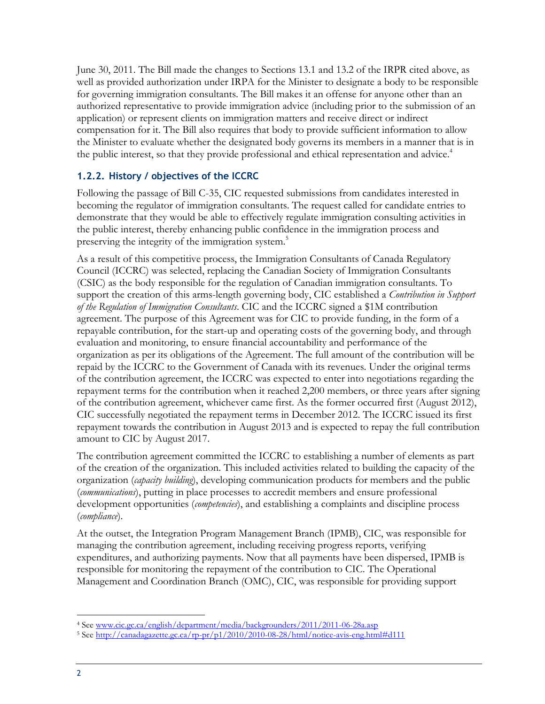June 30, 2011. The Bill made the changes to Sections 13.1 and 13.2 of the IRPR cited above, as well as provided authorization under IRPA for the Minister to designate a body to be responsible for governing immigration consultants. The Bill makes it an offense for anyone other than an authorized representative to provide immigration advice (including prior to the submission of an application) or represent clients on immigration matters and receive direct or indirect compensation for it. The Bill also requires that body to provide sufficient information to allow the Minister to evaluate whether the designated body governs its members in a manner that is in the public interest, so that they provide professional and ethical representation and advice.<sup>4</sup>

#### <span id="page-13-0"></span>**1.2.2. History / objectives of the ICCRC**

Following the passage of Bill C-35, CIC requested submissions from candidates interested in becoming the regulator of immigration consultants. The request called for candidate entries to demonstrate that they would be able to effectively regulate immigration consulting activities in the public interest, thereby enhancing public confidence in the immigration process and preserving the integrity of the immigration system.<sup>5</sup>

As a result of this competitive process, the Immigration Consultants of Canada Regulatory Council (ICCRC) was selected, replacing the Canadian Society of Immigration Consultants (CSIC) as the body responsible for the regulation of Canadian immigration consultants. To support the creation of this arms-length governing body, CIC established a *Contribution in Support of the Regulation of Immigration Consultants*. CIC and the ICCRC signed a \$1M contribution agreement. The purpose of this Agreement was for CIC to provide funding, in the form of a repayable contribution, for the start-up and operating costs of the governing body, and through evaluation and monitoring, to ensure financial accountability and performance of the organization as per its obligations of the Agreement. The full amount of the contribution will be repaid by the ICCRC to the Government of Canada with its revenues. Under the original terms of the contribution agreement, the ICCRC was expected to enter into negotiations regarding the repayment terms for the contribution when it reached 2,200 members, or three years after signing of the contribution agreement, whichever came first. As the former occurred first (August 2012), CIC successfully negotiated the repayment terms in December 2012. The ICCRC issued its first repayment towards the contribution in August 2013 and is expected to repay the full contribution amount to CIC by August 2017.

The contribution agreement committed the ICCRC to establishing a number of elements as part of the creation of the organization. This included activities related to building the capacity of the organization (*capacity building*), developing communication products for members and the public (*communications*), putting in place processes to accredit members and ensure professional development opportunities (*competencies*), and establishing a complaints and discipline process (*compliance*).

At the outset, the Integration Program Management Branch (IPMB), CIC, was responsible for managing the contribution agreement, including receiving progress reports, verifying expenditures, and authorizing payments. Now that all payments have been dispersed, IPMB is responsible for monitoring the repayment of the contribution to CIC. The Operational Management and Coordination Branch (OMC), CIC, was responsible for providing support

<sup>4</sup> Se[e www.cic.gc.ca/english/department/media/backgrounders/2011/2011-06-28a.asp](http://www.cic.gc.ca/english/department/media/backgrounders/2011/2011-06-28a.asp)

<sup>5</sup> Se[e http://canadagazette.gc.ca/rp-pr/p1/2010/2010-08-28/html/notice-avis-eng.html#d111](http://canadagazette.gc.ca/rp-pr/p1/2010/2010-08-28/html/notice-avis-eng.html#d111)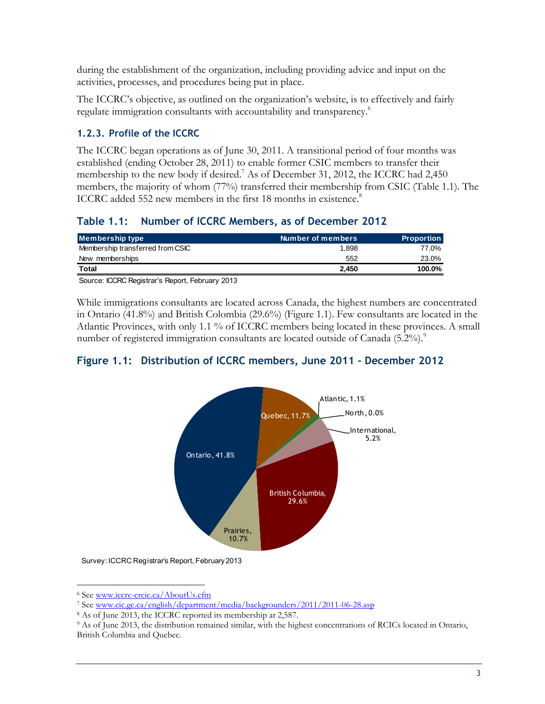during the establishment of the organization, including providing advice and input on the activities, processes, and procedures being put in place.

The ICCRC's objective, as outlined on the organization's website, is to effectively and fairly regulate immigration consultants with accountability and transparency.<sup>6</sup>

#### <span id="page-14-0"></span>**1.2.3. Profile of the ICCRC**

The ICCRC began operations as of June 30, 2011. A transitional period of four months was established (ending October 28, 2011) to enable former CSIC members to transfer their membership to the new body if desired.<sup>7</sup> As of December 31, 2012, the ICCRC had 2,450 members, the majority of whom (77%) transferred their membership from CSIC (Table 1.1). The ICCRC added 552 new members in the first 18 months in existence.<sup>8</sup>

#### <span id="page-14-1"></span>**Table 1.1: Number of ICCRC Members, as of December 2012**

| Membership type                  | Number of members | <b>Proportion</b> |
|----------------------------------|-------------------|-------------------|
| Membership transferred from CSIC | 1.898             | 77.0%             |
| New memberships                  | 552               | 23.0%             |
| Total                            | 2.450             | 100.0%            |
| $\sim$<br>- - - -                |                   |                   |

Source: ICCRC Registrar's Report, February 2013

While immigrations consultants are located across Canada, the highest numbers are concentrated in Ontario (41.8%) and British Colombia (29.6%) (Figure 1.1). Few consultants are located in the Atlantic Provinces, with only 1.1 % of ICCRC members being located in these provinces. A small number of registered immigration consultants are located outside of Canada (5.2%).<sup>9</sup>

#### <span id="page-14-2"></span>**Figure 1.1: Distribution of ICCRC members, June 2011 - December 2012**



Survey: ICCRC Registrar's Report, February 2013

 $\overline{a}$ <sup>6</sup> Se[e www.iccrc-crcic.ca/AboutUs.cfm](http://www.iccrc-crcic.ca/AboutUs.cfm)

<sup>7</sup> Se[e www.cic.gc.ca/english/department/media/backgrounders/2011/2011-06-28.asp](http://www.cic.gc.ca/english/department/media/backgrounders/2011/2011-06-28.asp)

<sup>8</sup> As of June 2013, the ICCRC reported its membership at 2,587.

<sup>9</sup> As of June 2013, the distribution remained similar, with the highest concentrations of RCICs located in Ontario, British Columbia and Quebec.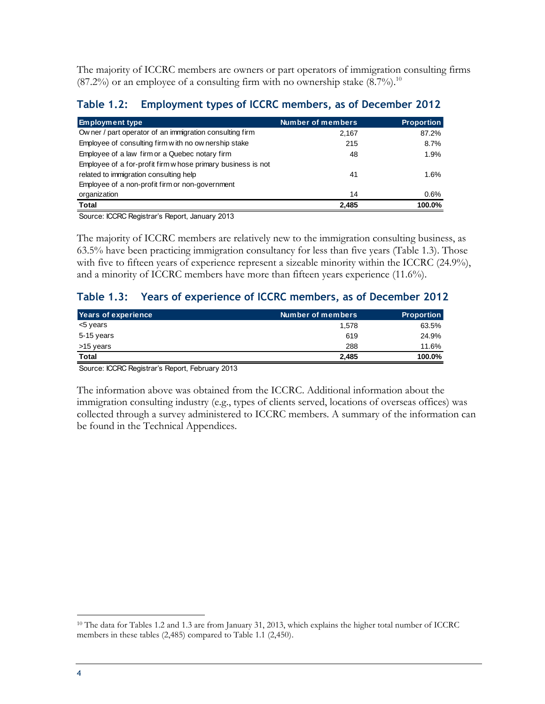The majority of ICCRC members are owners or part operators of immigration consulting firms  $(87.2\%)$  or an employee of a consulting firm with no ownership stake  $(8.7\%)$ .<sup>10</sup>

<span id="page-15-0"></span>

| Employment types of ICCRC members, as of December 2012<br><b>Table 1.2:</b> |                   |                   |
|-----------------------------------------------------------------------------|-------------------|-------------------|
| <b>Employment type</b>                                                      | Number of members | <b>Proportion</b> |
| Ow ner / part operator of an immigration consulting firm                    | 2,167             | 87.2%             |
| Employee of consulting firm with no ow nership stake                        | 215               | 8.7%              |
| Employee of a law firm or a Quebec notary firm                              | 48                | 1.9%              |
| Employee of a for-profit firm w hose primary business is not                |                   |                   |
| related to immigration consulting help                                      | 41                | 1.6%              |
| Employee of a non-profit firm or non-government                             |                   |                   |
| organization                                                                | 14                | 0.6%              |
| <b>Total</b>                                                                | 2.485             | 100.0%            |

Source: ICCRC Registrar's Report, January 2013

The majority of ICCRC members are relatively new to the immigration consulting business, as 63.5% have been practicing immigration consultancy for less than five years (Table 1.3). Those with five to fifteen years of experience represent a sizeable minority within the ICCRC (24.9%), and a minority of ICCRC members have more than fifteen years experience (11.6%).

#### <span id="page-15-1"></span>**Table 1.3: Years of experience of ICCRC members, as of December 2012**

| Years of experience | Number of members | <b>Proportion</b> |
|---------------------|-------------------|-------------------|
| <5 years            | 1.578             | 63.5%             |
| 5-15 years          | 619               | 24.9%             |
| >15 years           | 288               | 11.6%             |
| Total               | 2.485             | 100.0%            |

Source: ICCRC Registrar's Report, February 2013

The information above was obtained from the ICCRC. Additional information about the immigration consulting industry (e.g., types of clients served, locations of overseas offices) was collected through a survey administered to ICCRC members. A summary of the information can be found in the Technical Appendices.

<sup>10</sup> The data for Tables 1.2 and 1.3 are from January 31, 2013, which explains the higher total number of ICCRC members in these tables (2,485) compared to Table 1.1 (2,450).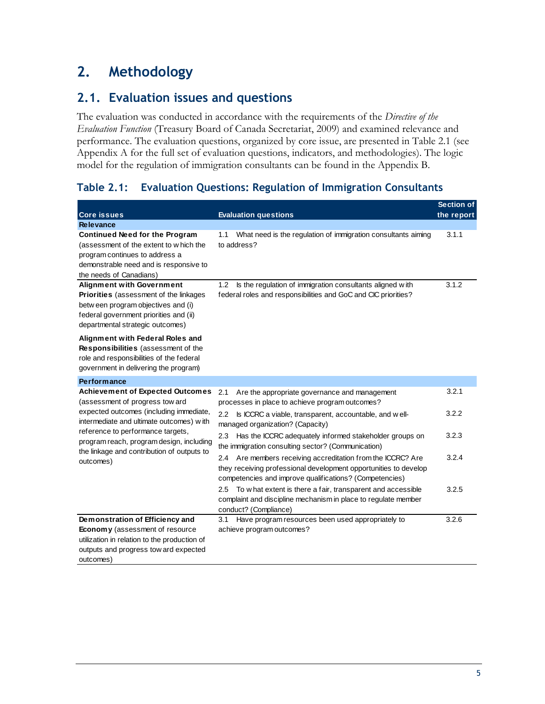### <span id="page-16-0"></span>**2. Methodology**

#### <span id="page-16-1"></span>**2.1. Evaluation issues and questions**

The evaluation was conducted in accordance with the requirements of the *Directive of the Evaluation Function* (Treasury Board of Canada Secretariat, 2009) and examined relevance and performance. The evaluation questions, organized by core issue, are presented in Table 2.1 (see Appendix A for the full set of evaluation questions, indicators, and methodologies). The logic model for the regulation of immigration consultants can be found in the Appendix B.

#### <span id="page-16-2"></span>**Table 2.1: Evaluation Questions: Regulation of Immigration Consultants**

| <b>Core issues</b>                                                                                                                                                                              | <b>Evaluation questions</b>                                                                                                                                                                   | <b>Section of</b><br>the report |
|-------------------------------------------------------------------------------------------------------------------------------------------------------------------------------------------------|-----------------------------------------------------------------------------------------------------------------------------------------------------------------------------------------------|---------------------------------|
| <b>Relevance</b>                                                                                                                                                                                |                                                                                                                                                                                               |                                 |
| <b>Continued Need for the Program</b><br>(assessment of the extent to which the<br>program continues to address a<br>demonstrable need and is responsive to<br>the needs of Canadians)          | 1.1<br>What need is the regulation of immigration consultants aiming<br>to address?                                                                                                           | 3.1.1                           |
| <b>Alignment with Government</b><br>Priorities (assessment of the linkages<br>betw een program objectives and (i)<br>federal government priorities and (ii)<br>departmental strategic outcomes) | Is the regulation of immigration consultants aligned with<br>1.2 <sub>2</sub><br>federal roles and responsibilities and GoC and CIC priorities?                                               | 3.1.2                           |
| Alignment with Federal Roles and<br>Responsibilities (assessment of the<br>role and responsibilities of the federal<br>government in delivering the program)                                    |                                                                                                                                                                                               |                                 |
| <b>Performance</b>                                                                                                                                                                              |                                                                                                                                                                                               |                                 |
| <b>Achievement of Expected Outcomes</b><br>(assessment of progress tow ard                                                                                                                      | 2.1<br>Are the appropriate governance and management<br>processes in place to achieve program outcomes?                                                                                       | 3.2.1                           |
| expected outcomes (including immediate,<br>intermediate and ultimate outcomes) with                                                                                                             | 2.2<br>Is ICCRC a viable, transparent, accountable, and well-<br>managed organization? (Capacity)                                                                                             | 3.2.2                           |
| reference to performance targets,<br>program reach, program design, including                                                                                                                   | Has the ICCRC adequately informed stakeholder groups on<br>2.3<br>the immigration consulting sector? (Communication)                                                                          | 3.2.3                           |
| the linkage and contribution of outputs to<br>outcomes)                                                                                                                                         | Are members receiving accreditation from the ICCRC? Are<br>2.4<br>they receiving professional development opportunities to develop<br>competencies and improve qualifications? (Competencies) | 3.2.4                           |
|                                                                                                                                                                                                 | To what extent is there a fair, transparent and accessible<br>2.5<br>complaint and discipline mechanism in place to regulate member<br>conduct? (Compliance)                                  | 3.2.5                           |
| Demonstration of Efficiency and<br><b>Economy</b> (assessment of resource<br>utilization in relation to the production of<br>outputs and progress tow ard expected<br>outcomes)                 | Have program resources been used appropriately to<br>3.1<br>achieve program outcomes?                                                                                                         | 3.2.6                           |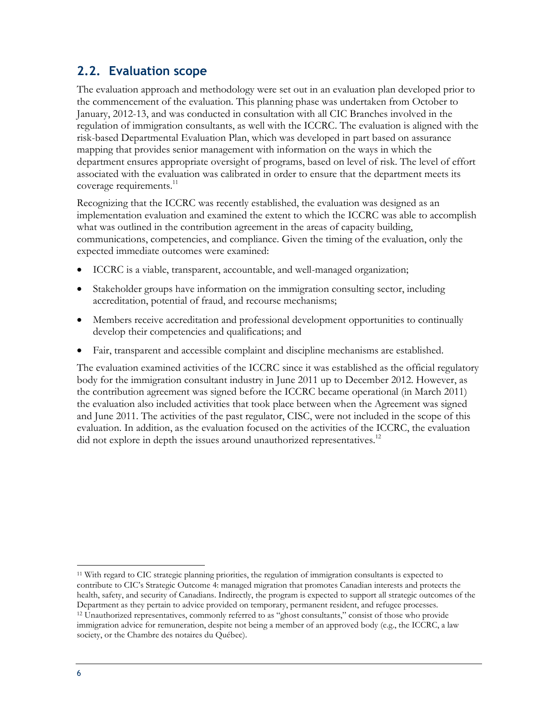### <span id="page-17-0"></span>**2.2. Evaluation scope**

The evaluation approach and methodology were set out in an evaluation plan developed prior to the commencement of the evaluation. This planning phase was undertaken from October to January, 2012-13, and was conducted in consultation with all CIC Branches involved in the regulation of immigration consultants, as well with the ICCRC. The evaluation is aligned with the risk-based Departmental Evaluation Plan, which was developed in part based on assurance mapping that provides senior management with information on the ways in which the department ensures appropriate oversight of programs, based on level of risk. The level of effort associated with the evaluation was calibrated in order to ensure that the department meets its coverage requirements.<sup>11</sup>

Recognizing that the ICCRC was recently established, the evaluation was designed as an implementation evaluation and examined the extent to which the ICCRC was able to accomplish what was outlined in the contribution agreement in the areas of capacity building, communications, competencies, and compliance. Given the timing of the evaluation, only the expected immediate outcomes were examined:

- ICCRC is a viable, transparent, accountable, and well-managed organization;
- Stakeholder groups have information on the immigration consulting sector, including accreditation, potential of fraud, and recourse mechanisms;
- Members receive accreditation and professional development opportunities to continually develop their competencies and qualifications; and
- Fair, transparent and accessible complaint and discipline mechanisms are established.

The evaluation examined activities of the ICCRC since it was established as the official regulatory body for the immigration consultant industry in June 2011 up to December 2012. However, as the contribution agreement was signed before the ICCRC became operational (in March 2011) the evaluation also included activities that took place between when the Agreement was signed and June 2011. The activities of the past regulator, CISC, were not included in the scope of this evaluation. In addition, as the evaluation focused on the activities of the ICCRC, the evaluation did not explore in depth the issues around unauthorized representatives.<sup>12</sup>

<sup>11</sup> With regard to CIC strategic planning priorities, the regulation of immigration consultants is expected to contribute to CIC's Strategic Outcome 4: managed migration that promotes Canadian interests and protects the health, safety, and security of Canadians. Indirectly, the program is expected to support all strategic outcomes of the Department as they pertain to advice provided on temporary, permanent resident, and refugee processes.

<sup>12</sup> Unauthorized representatives, commonly referred to as "ghost consultants," consist of those who provide immigration advice for remuneration, despite not being a member of an approved body (e.g., the ICCRC, a law society, or the Chambre des notaires du Québec).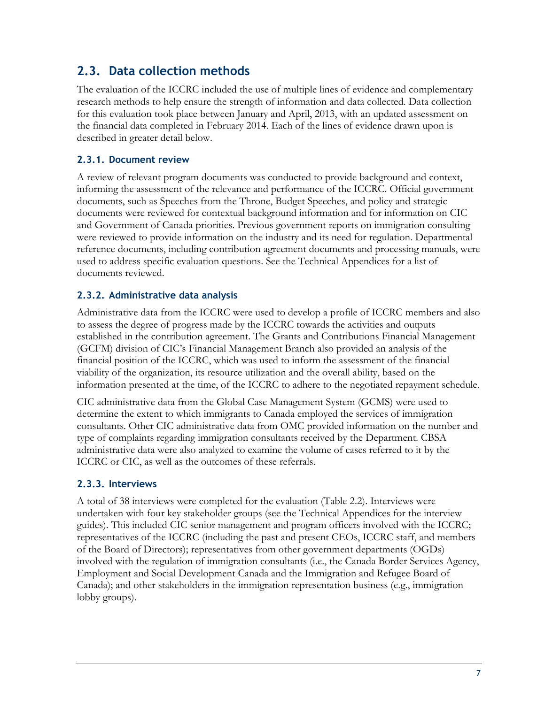### <span id="page-18-0"></span>**2.3. Data collection methods**

The evaluation of the ICCRC included the use of multiple lines of evidence and complementary research methods to help ensure the strength of information and data collected. Data collection for this evaluation took place between January and April, 2013, with an updated assessment on the financial data completed in February 2014. Each of the lines of evidence drawn upon is described in greater detail below.

#### <span id="page-18-1"></span>**2.3.1. Document review**

A review of relevant program documents was conducted to provide background and context, informing the assessment of the relevance and performance of the ICCRC. Official government documents, such as Speeches from the Throne, Budget Speeches, and policy and strategic documents were reviewed for contextual background information and for information on CIC and Government of Canada priorities. Previous government reports on immigration consulting were reviewed to provide information on the industry and its need for regulation. Departmental reference documents, including contribution agreement documents and processing manuals, were used to address specific evaluation questions. See the Technical Appendices for a list of documents reviewed.

#### <span id="page-18-2"></span>**2.3.2. Administrative data analysis**

Administrative data from the ICCRC were used to develop a profile of ICCRC members and also to assess the degree of progress made by the ICCRC towards the activities and outputs established in the contribution agreement. The Grants and Contributions Financial Management (GCFM) division of CIC's Financial Management Branch also provided an analysis of the financial position of the ICCRC, which was used to inform the assessment of the financial viability of the organization, its resource utilization and the overall ability, based on the information presented at the time, of the ICCRC to adhere to the negotiated repayment schedule.

CIC administrative data from the Global Case Management System (GCMS) were used to determine the extent to which immigrants to Canada employed the services of immigration consultants. Other CIC administrative data from OMC provided information on the number and type of complaints regarding immigration consultants received by the Department. CBSA administrative data were also analyzed to examine the volume of cases referred to it by the ICCRC or CIC, as well as the outcomes of these referrals.

#### <span id="page-18-3"></span>**2.3.3. Interviews**

A total of 38 interviews were completed for the evaluation (Table 2.2). Interviews were undertaken with four key stakeholder groups (see the Technical Appendices for the interview guides). This included CIC senior management and program officers involved with the ICCRC; representatives of the ICCRC (including the past and present CEOs, ICCRC staff, and members of the Board of Directors); representatives from other government departments (OGDs) involved with the regulation of immigration consultants (i.e., the Canada Border Services Agency, Employment and Social Development Canada and the Immigration and Refugee Board of Canada); and other stakeholders in the immigration representation business (e.g., immigration lobby groups).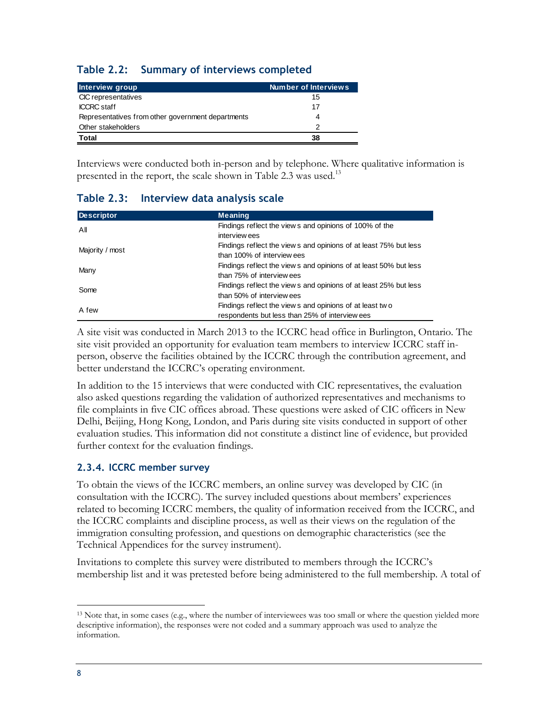#### <span id="page-19-1"></span>**Table 2.2: Summary of interviews completed**

| Interview group                                   | Number of Interviews |
|---------------------------------------------------|----------------------|
| CIC representatives                               | 15                   |
| <b>ICCRC</b> staff                                | 17                   |
| Representatives from other government departments | 4                    |
| Other stakeholders                                | 2                    |
| Total                                             | 38                   |

Interviews were conducted both in-person and by telephone. Where qualitative information is presented in the report, the scale shown in Table 2.3 was used.<sup>13</sup>

<span id="page-19-2"></span>

| Table 2.3: Interview data analysis scale |                                                                                                           |
|------------------------------------------|-----------------------------------------------------------------------------------------------------------|
| <b>Descriptor</b>                        | <b>Meaning</b>                                                                                            |
| All                                      | Findings reflect the view s and opinions of 100% of the<br>interview ees                                  |
| Majority / most                          | Findings reflect the view s and opinions of at least 75% but less<br>than 100% of interview ees           |
| Many                                     | Findings reflect the view s and opinions of at least 50% but less<br>than 75% of interview ees            |
| Some                                     | Findings reflect the view s and opinions of at least 25% but less<br>than 50% of interview ees            |
| A few                                    | Findings reflect the views and opinions of at least two<br>respondents but less than 25% of interview ees |

A site visit was conducted in March 2013 to the ICCRC head office in Burlington, Ontario. The site visit provided an opportunity for evaluation team members to interview ICCRC staff inperson, observe the facilities obtained by the ICCRC through the contribution agreement, and better understand the ICCRC's operating environment.

In addition to the 15 interviews that were conducted with CIC representatives, the evaluation also asked questions regarding the validation of authorized representatives and mechanisms to file complaints in five CIC offices abroad. These questions were asked of CIC officers in New Delhi, Beijing, Hong Kong, London, and Paris during site visits conducted in support of other evaluation studies. This information did not constitute a distinct line of evidence, but provided further context for the evaluation findings.

#### <span id="page-19-0"></span>**2.3.4. ICCRC member survey**

To obtain the views of the ICCRC members, an online survey was developed by CIC (in consultation with the ICCRC). The survey included questions about members' experiences related to becoming ICCRC members, the quality of information received from the ICCRC, and the ICCRC complaints and discipline process, as well as their views on the regulation of the immigration consulting profession, and questions on demographic characteristics (see the Technical Appendices for the survey instrument).

Invitations to complete this survey were distributed to members through the ICCRC's membership list and it was pretested before being administered to the full membership. A total of

<sup>&</sup>lt;sup>13</sup> Note that, in some cases (e.g., where the number of interviewees was too small or where the question yielded more descriptive information), the responses were not coded and a summary approach was used to analyze the information.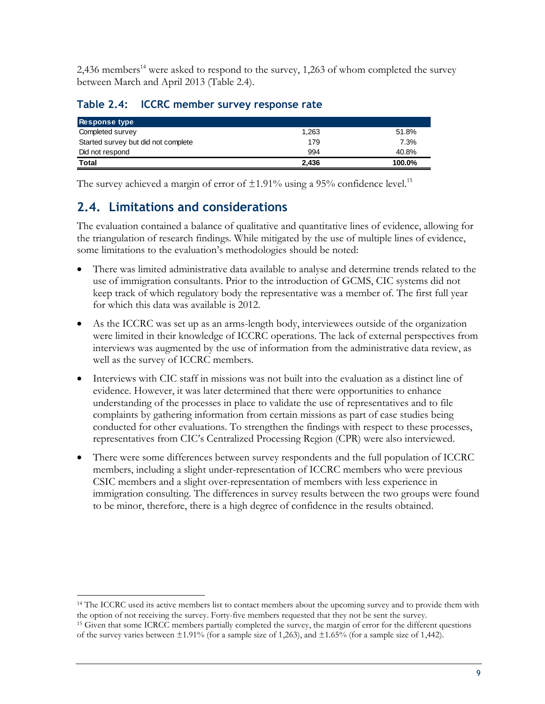2,436 members<sup>14</sup> were asked to respond to the survey, 1,263 of whom completed the survey between March and April 2013 (Table 2.4).

#### <span id="page-20-1"></span>**Table 2.4: ICCRC member survey response rate**

| <b>Response type</b>                |       |        |
|-------------------------------------|-------|--------|
| Completed survey                    | 1,263 | 51.8%  |
| Started survey but did not complete | 179   | 7.3%   |
| Did not respond                     | 994   | 40.8%  |
| Total                               | 2.436 | 100.0% |

The survey achieved a margin of error of  $\pm 1.91\%$  using a 95% confidence level.<sup>15</sup>

### <span id="page-20-0"></span>**2.4. Limitations and considerations**

The evaluation contained a balance of qualitative and quantitative lines of evidence, allowing for the triangulation of research findings. While mitigated by the use of multiple lines of evidence, some limitations to the evaluation's methodologies should be noted:

- There was limited administrative data available to analyse and determine trends related to the use of immigration consultants. Prior to the introduction of GCMS, CIC systems did not keep track of which regulatory body the representative was a member of. The first full year for which this data was available is 2012.
- As the ICCRC was set up as an arms-length body, interviewees outside of the organization were limited in their knowledge of ICCRC operations. The lack of external perspectives from interviews was augmented by the use of information from the administrative data review, as well as the survey of ICCRC members.
- Interviews with CIC staff in missions was not built into the evaluation as a distinct line of evidence. However, it was later determined that there were opportunities to enhance understanding of the processes in place to validate the use of representatives and to file complaints by gathering information from certain missions as part of case studies being conducted for other evaluations. To strengthen the findings with respect to these processes, representatives from CIC's Centralized Processing Region (CPR) were also interviewed.
- There were some differences between survey respondents and the full population of ICCRC members, including a slight under-representation of ICCRC members who were previous CSIC members and a slight over-representation of members with less experience in immigration consulting. The differences in survey results between the two groups were found to be minor, therefore, there is a high degree of confidence in the results obtained.

 $\overline{a}$ <sup>14</sup> The ICCRC used its active members list to contact members about the upcoming survey and to provide them with the option of not receiving the survey. Forty-five members requested that they not be sent the survey.

<sup>&</sup>lt;sup>15</sup> Given that some ICRCC members partially completed the survey, the margin of error for the different questions of the survey varies between  $\pm 1.91\%$  (for a sample size of 1,263), and  $\pm 1.65\%$  (for a sample size of 1,442).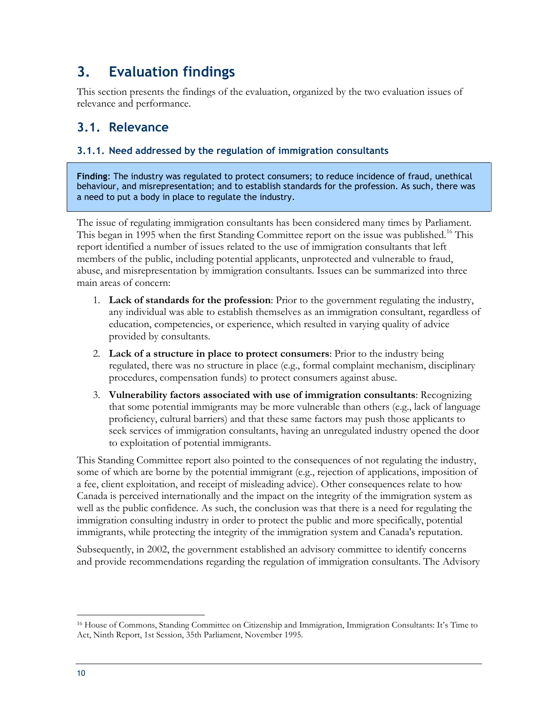### <span id="page-21-0"></span>**3. Evaluation findings**

This section presents the findings of the evaluation, organized by the two evaluation issues of relevance and performance.

#### <span id="page-21-1"></span>**3.1. Relevance**

#### <span id="page-21-2"></span>**3.1.1. Need addressed by the regulation of immigration consultants**

**Finding**: The industry was regulated to protect consumers; to reduce incidence of fraud, unethical behaviour, and misrepresentation; and to establish standards for the profession. As such, there was a need to put a body in place to regulate the industry.

The issue of regulating immigration consultants has been considered many times by Parliament. This began in 1995 when the first Standing Committee report on the issue was published.<sup>16</sup> This report identified a number of issues related to the use of immigration consultants that left members of the public, including potential applicants, unprotected and vulnerable to fraud, abuse, and misrepresentation by immigration consultants. Issues can be summarized into three main areas of concern:

- 1. **Lack of standards for the profession**: Prior to the government regulating the industry, any individual was able to establish themselves as an immigration consultant, regardless of education, competencies, or experience, which resulted in varying quality of advice provided by consultants.
- 2. **Lack of a structure in place to protect consumers**: Prior to the industry being regulated, there was no structure in place (e.g., formal complaint mechanism, disciplinary procedures, compensation funds) to protect consumers against abuse.
- 3. **Vulnerability factors associated with use of immigration consultants**: Recognizing that some potential immigrants may be more vulnerable than others (e.g., lack of language proficiency, cultural barriers) and that these same factors may push those applicants to seek services of immigration consultants, having an unregulated industry opened the door to exploitation of potential immigrants.

This Standing Committee report also pointed to the consequences of not regulating the industry, some of which are borne by the potential immigrant (e.g., rejection of applications, imposition of a fee, client exploitation, and receipt of misleading advice). Other consequences relate to how Canada is perceived internationally and the impact on the integrity of the immigration system as well as the public confidence. As such, the conclusion was that there is a need for regulating the immigration consulting industry in order to protect the public and more specifically, potential immigrants, while protecting the integrity of the immigration system and Canada's reputation.

Subsequently, in 2002, the government established an advisory committee to identify concerns and provide recommendations regarding the regulation of immigration consultants. The Advisory

<sup>16</sup> House of Commons, Standing Committee on Citizenship and Immigration, Immigration Consultants: It's Time to Act, Ninth Report, 1st Session, 35th Parliament, November 1995.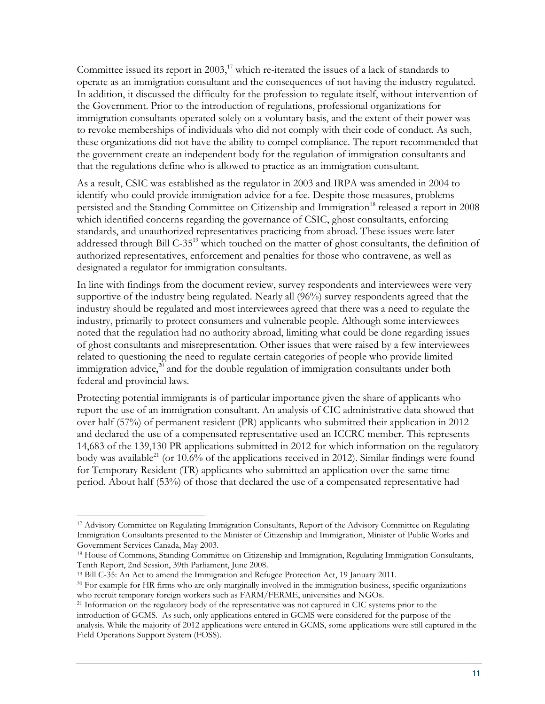Committee issued its report in  $2003$ ,<sup>17</sup> which re-iterated the issues of a lack of standards to operate as an immigration consultant and the consequences of not having the industry regulated. In addition, it discussed the difficulty for the profession to regulate itself, without intervention of the Government. Prior to the introduction of regulations, professional organizations for immigration consultants operated solely on a voluntary basis, and the extent of their power was to revoke memberships of individuals who did not comply with their code of conduct. As such, these organizations did not have the ability to compel compliance. The report recommended that the government create an independent body for the regulation of immigration consultants and that the regulations define who is allowed to practice as an immigration consultant.

As a result, CSIC was established as the regulator in 2003 and IRPA was amended in 2004 to identify who could provide immigration advice for a fee. Despite those measures, problems persisted and the Standing Committee on Citizenship and Immigration<sup>18</sup> released a report in 2008 which identified concerns regarding the governance of CSIC, ghost consultants, enforcing standards, and unauthorized representatives practicing from abroad. These issues were later addressed through Bill C-35<sup>19</sup> which touched on the matter of ghost consultants, the definition of authorized representatives, enforcement and penalties for those who contravene, as well as designated a regulator for immigration consultants.

In line with findings from the document review, survey respondents and interviewees were very supportive of the industry being regulated. Nearly all (96%) survey respondents agreed that the industry should be regulated and most interviewees agreed that there was a need to regulate the industry, primarily to protect consumers and vulnerable people. Although some interviewees noted that the regulation had no authority abroad, limiting what could be done regarding issues of ghost consultants and misrepresentation. Other issues that were raised by a few interviewees related to questioning the need to regulate certain categories of people who provide limited immigration advice, $^{20}$  and for the double regulation of immigration consultants under both federal and provincial laws.

Protecting potential immigrants is of particular importance given the share of applicants who report the use of an immigration consultant. An analysis of CIC administrative data showed that over half (57%) of permanent resident (PR) applicants who submitted their application in 2012 and declared the use of a compensated representative used an ICCRC member. This represents 14,683 of the 139,130 PR applications submitted in 2012 for which information on the regulatory body was available<sup>21</sup> (or 10.6% of the applications received in 2012). Similar findings were found for Temporary Resident (TR) applicants who submitted an application over the same time period. About half (53%) of those that declared the use of a compensated representative had

<sup>17</sup> Advisory Committee on Regulating Immigration Consultants, Report of the Advisory Committee on Regulating Immigration Consultants presented to the Minister of Citizenship and Immigration, Minister of Public Works and Government Services Canada, May 2003.

<sup>18</sup> House of Commons, Standing Committee on Citizenship and Immigration, Regulating Immigration Consultants, Tenth Report, 2nd Session, 39th Parliament, June 2008.

<sup>19</sup> Bill C-35: An Act to amend the Immigration and Refugee Protection Act, 19 January 2011.

<sup>&</sup>lt;sup>20</sup> For example for HR firms who are only marginally involved in the immigration business, specific organizations who recruit temporary foreign workers such as FARM/FERME, universities and NGOs.

<sup>&</sup>lt;sup>21</sup> Information on the regulatory body of the representative was not captured in CIC systems prior to the introduction of GCMS. As such, only applications entered in GCMS were considered for the purpose of the analysis. While the majority of 2012 applications were entered in GCMS, some applications were still captured in the Field Operations Support System (FOSS).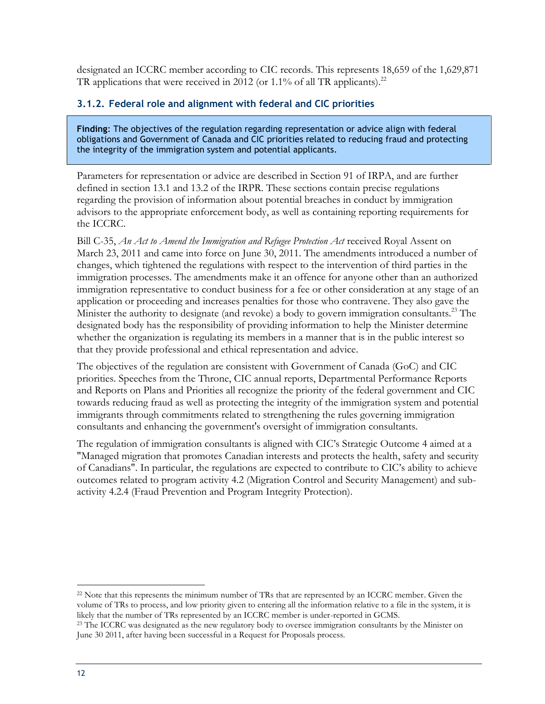designated an ICCRC member according to CIC records. This represents 18,659 of the 1,629,871 TR applications that were received in 2012 (or 1.1% of all TR applicants).<sup>22</sup>

#### <span id="page-23-0"></span>**3.1.2. Federal role and alignment with federal and CIC priorities**

**Finding**: The objectives of the regulation regarding representation or advice align with federal obligations and Government of Canada and CIC priorities related to reducing fraud and protecting the integrity of the immigration system and potential applicants.

Parameters for representation or advice are described in Section 91 of IRPA, and are further defined in section 13.1 and 13.2 of the IRPR. These sections contain precise regulations regarding the provision of information about potential breaches in conduct by immigration advisors to the appropriate enforcement body, as well as containing reporting requirements for the ICCRC.

Bill C-35, *An Act to Amend the Immigration and Refugee Protection Act* received Royal Assent on March 23, 2011 and came into force on June 30, 2011. The amendments introduced a number of changes, which tightened the regulations with respect to the intervention of third parties in the immigration processes. The amendments make it an offence for anyone other than an authorized immigration representative to conduct business for a fee or other consideration at any stage of an application or proceeding and increases penalties for those who contravene. They also gave the Minister the authority to designate (and revoke) a body to govern immigration consultants.<sup>23</sup> The designated body has the responsibility of providing information to help the Minister determine whether the organization is regulating its members in a manner that is in the public interest so that they provide professional and ethical representation and advice.

The objectives of the regulation are consistent with Government of Canada (GoC) and CIC priorities. Speeches from the Throne, CIC annual reports, Departmental Performance Reports and Reports on Plans and Priorities all recognize the priority of the federal government and CIC towards reducing fraud as well as protecting the integrity of the immigration system and potential immigrants through commitments related to strengthening the rules governing immigration consultants and enhancing the government's oversight of immigration consultants.

The regulation of immigration consultants is aligned with CIC's Strategic Outcome 4 aimed at a "Managed migration that promotes Canadian interests and protects the health, safety and security of Canadians". In particular, the regulations are expected to contribute to CIC's ability to achieve outcomes related to program activity 4.2 (Migration Control and Security Management) and subactivity 4.2.4 (Fraud Prevention and Program Integrity Protection).

<sup>&</sup>lt;sup>22</sup> Note that this represents the minimum number of TRs that are represented by an ICCRC member. Given the volume of TRs to process, and low priority given to entering all the information relative to a file in the system, it is likely that the number of TRs represented by an ICCRC member is under-reported in GCMS.

<sup>&</sup>lt;sup>23</sup> The ICCRC was designated as the new regulatory body to oversee immigration consultants by the Minister on June 30 2011, after having been successful in a Request for Proposals process.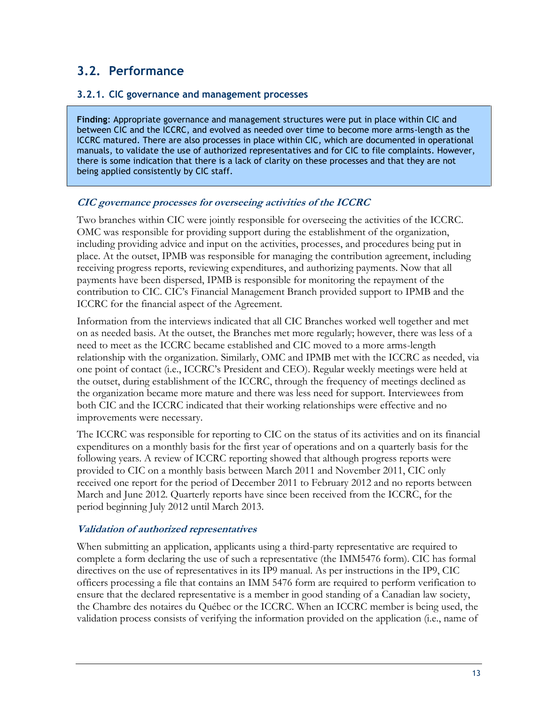### <span id="page-24-0"></span>**3.2. Performance**

#### <span id="page-24-1"></span>**3.2.1. CIC governance and management processes**

**Finding**: Appropriate governance and management structures were put in place within CIC and between CIC and the ICCRC, and evolved as needed over time to become more arms-length as the ICCRC matured. There are also processes in place within CIC, which are documented in operational manuals, to validate the use of authorized representatives and for CIC to file complaints. However, there is some indication that there is a lack of clarity on these processes and that they are not being applied consistently by CIC staff.

#### **CIC governance processes for overseeing activities of the ICCRC**

Two branches within CIC were jointly responsible for overseeing the activities of the ICCRC. OMC was responsible for providing support during the establishment of the organization, including providing advice and input on the activities, processes, and procedures being put in place. At the outset, IPMB was responsible for managing the contribution agreement, including receiving progress reports, reviewing expenditures, and authorizing payments. Now that all payments have been dispersed, IPMB is responsible for monitoring the repayment of the contribution to CIC. CIC's Financial Management Branch provided support to IPMB and the ICCRC for the financial aspect of the Agreement.

Information from the interviews indicated that all CIC Branches worked well together and met on as needed basis. At the outset, the Branches met more regularly; however, there was less of a need to meet as the ICCRC became established and CIC moved to a more arms-length relationship with the organization. Similarly, OMC and IPMB met with the ICCRC as needed, via one point of contact (i.e., ICCRC's President and CEO). Regular weekly meetings were held at the outset, during establishment of the ICCRC, through the frequency of meetings declined as the organization became more mature and there was less need for support. Interviewees from both CIC and the ICCRC indicated that their working relationships were effective and no improvements were necessary.

The ICCRC was responsible for reporting to CIC on the status of its activities and on its financial expenditures on a monthly basis for the first year of operations and on a quarterly basis for the following years. A review of ICCRC reporting showed that although progress reports were provided to CIC on a monthly basis between March 2011 and November 2011, CIC only received one report for the period of December 2011 to February 2012 and no reports between March and June 2012. Quarterly reports have since been received from the ICCRC, for the period beginning July 2012 until March 2013.

#### **Validation of authorized representatives**

When submitting an application, applicants using a third-party representative are required to complete a form declaring the use of such a representative (the IMM5476 form). CIC has formal directives on the use of representatives in its IP9 manual. As per instructions in the IP9, CIC officers processing a file that contains an IMM 5476 form are required to perform verification to ensure that the declared representative is a member in good standing of a Canadian law society, the Chambre des notaires du Québec or the ICCRC. When an ICCRC member is being used, the validation process consists of verifying the information provided on the application (i.e., name of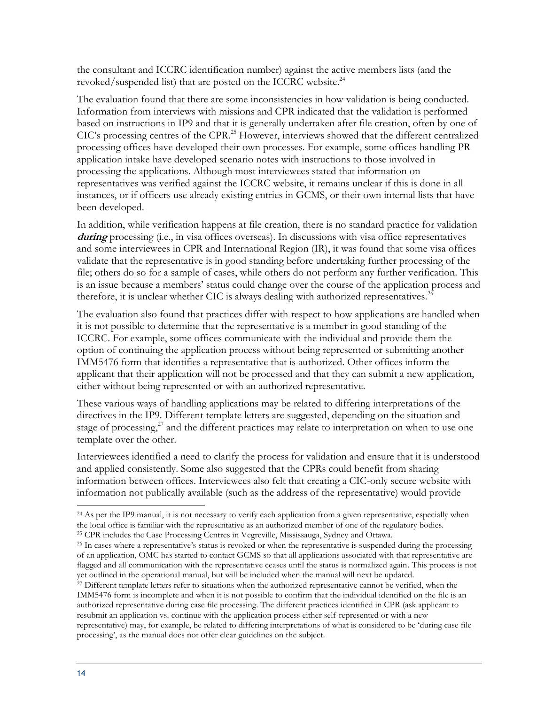the consultant and ICCRC identification number) against the active members lists (and the revoked/suspended list) that are posted on the ICCRC website.<sup>24</sup>

The evaluation found that there are some inconsistencies in how validation is being conducted. Information from interviews with missions and CPR indicated that the validation is performed based on instructions in IP9 and that it is generally undertaken after file creation, often by one of CIC's processing centres of the CPR.<sup>25</sup> However, interviews showed that the different centralized processing offices have developed their own processes. For example, some offices handling PR application intake have developed scenario notes with instructions to those involved in processing the applications. Although most interviewees stated that information on representatives was verified against the ICCRC website, it remains unclear if this is done in all instances, or if officers use already existing entries in GCMS, or their own internal lists that have been developed.

In addition, while verification happens at file creation, there is no standard practice for validation **during** processing (i.e., in visa offices overseas). In discussions with visa office representatives and some interviewees in CPR and International Region (IR), it was found that some visa offices validate that the representative is in good standing before undertaking further processing of the file; others do so for a sample of cases, while others do not perform any further verification. This is an issue because a members' status could change over the course of the application process and therefore, it is unclear whether CIC is always dealing with authorized representatives. $^{26}$ 

The evaluation also found that practices differ with respect to how applications are handled when it is not possible to determine that the representative is a member in good standing of the ICCRC. For example, some offices communicate with the individual and provide them the option of continuing the application process without being represented or submitting another IMM5476 form that identifies a representative that is authorized. Other offices inform the applicant that their application will not be processed and that they can submit a new application, either without being represented or with an authorized representative.

These various ways of handling applications may be related to differing interpretations of the directives in the IP9. Different template letters are suggested, depending on the situation and stage of processing, $^{27}$  and the different practices may relate to interpretation on when to use one template over the other.

Interviewees identified a need to clarify the process for validation and ensure that it is understood and applied consistently. Some also suggested that the CPRs could benefit from sharing information between offices. Interviewees also felt that creating a CIC-only secure website with information not publically available (such as the address of the representative) would provide

 $\overline{a}$ <sup>24</sup> As per the IP9 manual, it is not necessary to verify each application from a given representative, especially when the local office is familiar with the representative as an authorized member of one of the regulatory bodies. <sup>25</sup> CPR includes the Case Processing Centres in Vegreville, Mississauga, Sydney and Ottawa.

<sup>&</sup>lt;sup>26</sup> In cases where a representative's status is revoked or when the representative is suspended during the processing of an application, OMC has started to contact GCMS so that all applications associated with that representative are flagged and all communication with the representative ceases until the status is normalized again. This process is not yet outlined in the operational manual, but will be included when the manual will next be updated.

<sup>&</sup>lt;sup>27</sup> Different template letters refer to situations when the authorized representative cannot be verified, when the IMM5476 form is incomplete and when it is not possible to confirm that the individual identified on the file is an authorized representative during case file processing. The different practices identified in CPR (ask applicant to resubmit an application vs. continue with the application process either self-represented or with a new representative) may, for example, be related to differing interpretations of what is considered to be 'during case file processing', as the manual does not offer clear guidelines on the subject.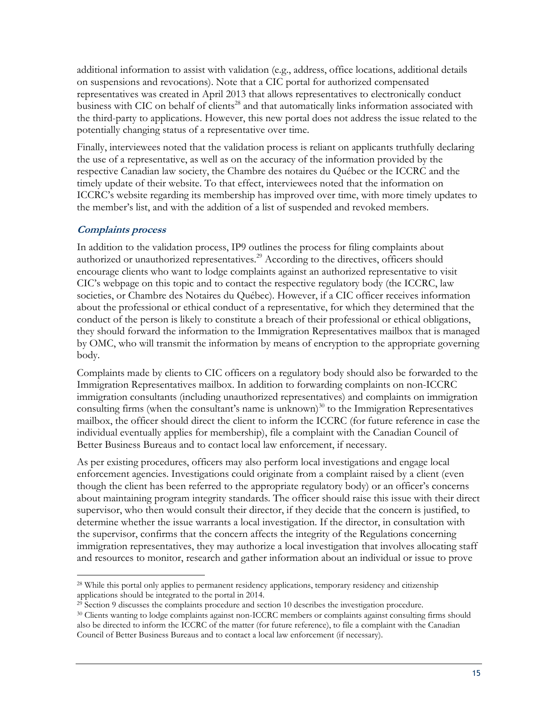additional information to assist with validation (e.g., address, office locations, additional details on suspensions and revocations). Note that a CIC portal for authorized compensated representatives was created in April 2013 that allows representatives to electronically conduct business with CIC on behalf of clients<sup>28</sup> and that automatically links information associated with the third-party to applications. However, this new portal does not address the issue related to the potentially changing status of a representative over time.

Finally, interviewees noted that the validation process is reliant on applicants truthfully declaring the use of a representative, as well as on the accuracy of the information provided by the respective Canadian law society, the Chambre des notaires du Québec or the ICCRC and the timely update of their website. To that effect, interviewees noted that the information on ICCRC's website regarding its membership has improved over time, with more timely updates to the member's list, and with the addition of a list of suspended and revoked members.

#### **Complaints process**

 $\overline{a}$ 

In addition to the validation process, IP9 outlines the process for filing complaints about authorized or unauthorized representatives.<sup>29</sup> According to the directives, officers should encourage clients who want to lodge complaints against an authorized representative to visit CIC's webpage on this topic and to contact the respective regulatory body (the ICCRC, law societies, or Chambre des Notaires du Québec). However, if a CIC officer receives information about the professional or ethical conduct of a representative, for which they determined that the conduct of the person is likely to constitute a breach of their professional or ethical obligations, they should forward the information to the Immigration Representatives mailbox that is managed by OMC, who will transmit the information by means of encryption to the appropriate governing body.

Complaints made by clients to CIC officers on a regulatory body should also be forwarded to the Immigration Representatives mailbox. In addition to forwarding complaints on non-ICCRC immigration consultants (including unauthorized representatives) and complaints on immigration consulting firms (when the consultant's name is unknown)<sup>30</sup> to the Immigration Representatives mailbox, the officer should direct the client to inform the ICCRC (for future reference in case the individual eventually applies for membership), file a complaint with the Canadian Council of Better Business Bureaus and to contact local law enforcement, if necessary.

As per existing procedures, officers may also perform local investigations and engage local enforcement agencies. Investigations could originate from a complaint raised by a client (even though the client has been referred to the appropriate regulatory body) or an officer's concerns about maintaining program integrity standards. The officer should raise this issue with their direct supervisor, who then would consult their director, if they decide that the concern is justified, to determine whether the issue warrants a local investigation. If the director, in consultation with the supervisor, confirms that the concern affects the integrity of the Regulations concerning immigration representatives, they may authorize a local investigation that involves allocating staff and resources to monitor, research and gather information about an individual or issue to prove

<sup>&</sup>lt;sup>28</sup> While this portal only applies to permanent residency applications, temporary residency and citizenship applications should be integrated to the portal in 2014.

 $^{29}$  Section 9 discusses the complaints procedure and section 10 describes the investigation procedure.

<sup>30</sup> Clients wanting to lodge complaints against non-ICCRC members or complaints against consulting firms should also be directed to inform the ICCRC of the matter (for future reference), to file a complaint with the Canadian Council of Better Business Bureaus and to contact a local law enforcement (if necessary).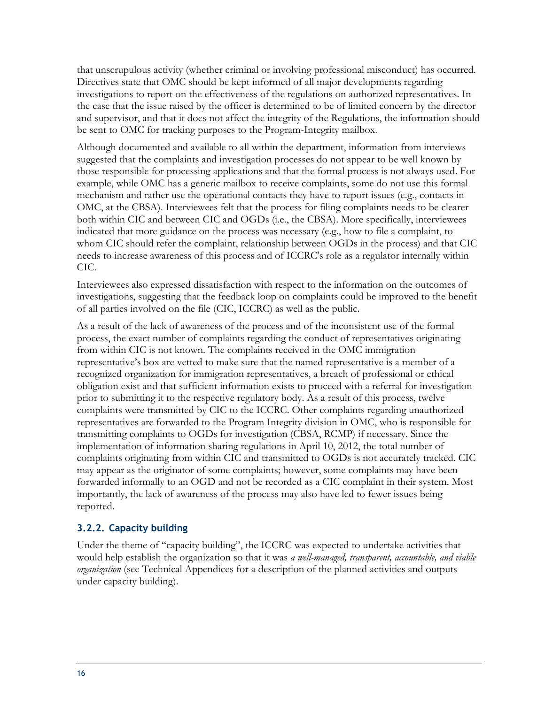that unscrupulous activity (whether criminal or involving professional misconduct) has occurred. Directives state that OMC should be kept informed of all major developments regarding investigations to report on the effectiveness of the regulations on authorized representatives. In the case that the issue raised by the officer is determined to be of limited concern by the director and supervisor, and that it does not affect the integrity of the Regulations, the information should be sent to OMC for tracking purposes to the Program-Integrity mailbox.

Although documented and available to all within the department, information from interviews suggested that the complaints and investigation processes do not appear to be well known by those responsible for processing applications and that the formal process is not always used. For example, while OMC has a generic mailbox to receive complaints, some do not use this formal mechanism and rather use the operational contacts they have to report issues (e.g., contacts in OMC, at the CBSA). Interviewees felt that the process for filing complaints needs to be clearer both within CIC and between CIC and OGDs (i.e., the CBSA). More specifically, interviewees indicated that more guidance on the process was necessary (e.g., how to file a complaint, to whom CIC should refer the complaint, relationship between OGDs in the process) and that CIC needs to increase awareness of this process and of ICCRC's role as a regulator internally within CIC.

Interviewees also expressed dissatisfaction with respect to the information on the outcomes of investigations, suggesting that the feedback loop on complaints could be improved to the benefit of all parties involved on the file (CIC, ICCRC) as well as the public.

As a result of the lack of awareness of the process and of the inconsistent use of the formal process, the exact number of complaints regarding the conduct of representatives originating from within CIC is not known. The complaints received in the OMC immigration representative's box are vetted to make sure that the named representative is a member of a recognized organization for immigration representatives, a breach of professional or ethical obligation exist and that sufficient information exists to proceed with a referral for investigation prior to submitting it to the respective regulatory body. As a result of this process, twelve complaints were transmitted by CIC to the ICCRC. Other complaints regarding unauthorized representatives are forwarded to the Program Integrity division in OMC, who is responsible for transmitting complaints to OGDs for investigation (CBSA, RCMP) if necessary. Since the implementation of information sharing regulations in April 10, 2012, the total number of complaints originating from within CIC and transmitted to OGDs is not accurately tracked. CIC may appear as the originator of some complaints; however, some complaints may have been forwarded informally to an OGD and not be recorded as a CIC complaint in their system. Most importantly, the lack of awareness of the process may also have led to fewer issues being reported.

#### <span id="page-27-0"></span>**3.2.2. Capacity building**

Under the theme of "capacity building", the ICCRC was expected to undertake activities that would help establish the organization so that it was *a well-managed, transparent, accountable, and viable organization* (see Technical Appendices for a description of the planned activities and outputs under capacity building).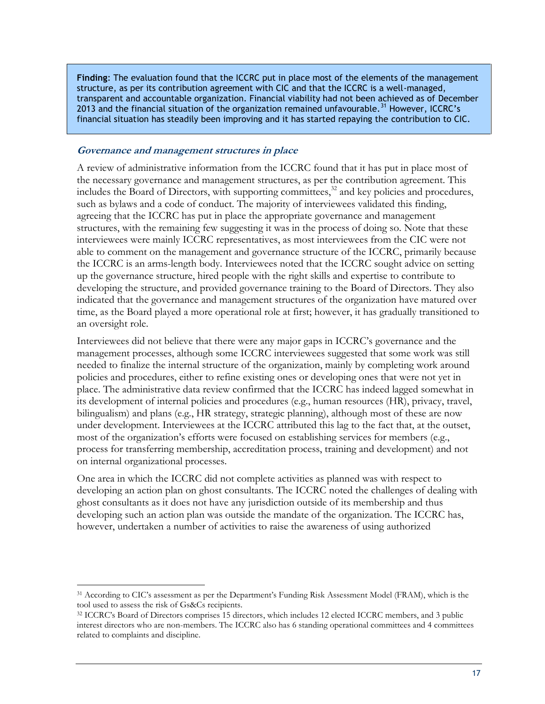**Finding**: The evaluation found that the ICCRC put in place most of the elements of the management structure, as per its contribution agreement with CIC and that the ICCRC is a well-managed, transparent and accountable organization. Financial viability had not been achieved as of December 2013 and the financial situation of the organization remained unfavourable.<sup>31</sup> However, ICCRC's financial situation has steadily been improving and it has started repaying the contribution to CIC.

#### **Governance and management structures in place**

 $\overline{a}$ 

A review of administrative information from the ICCRC found that it has put in place most of the necessary governance and management structures, as per the contribution agreement. This includes the Board of Directors, with supporting committees, $3<sup>2</sup>$  and key policies and procedures, such as bylaws and a code of conduct. The majority of interviewees validated this finding, agreeing that the ICCRC has put in place the appropriate governance and management structures, with the remaining few suggesting it was in the process of doing so. Note that these interviewees were mainly ICCRC representatives, as most interviewees from the CIC were not able to comment on the management and governance structure of the ICCRC, primarily because the ICCRC is an arms-length body. Interviewees noted that the ICCRC sought advice on setting up the governance structure, hired people with the right skills and expertise to contribute to developing the structure, and provided governance training to the Board of Directors. They also indicated that the governance and management structures of the organization have matured over time, as the Board played a more operational role at first; however, it has gradually transitioned to an oversight role.

Interviewees did not believe that there were any major gaps in ICCRC's governance and the management processes, although some ICCRC interviewees suggested that some work was still needed to finalize the internal structure of the organization, mainly by completing work around policies and procedures, either to refine existing ones or developing ones that were not yet in place. The administrative data review confirmed that the ICCRC has indeed lagged somewhat in its development of internal policies and procedures (e.g., human resources (HR), privacy, travel, bilingualism) and plans (e.g., HR strategy, strategic planning), although most of these are now under development. Interviewees at the ICCRC attributed this lag to the fact that, at the outset, most of the organization's efforts were focused on establishing services for members (e.g., process for transferring membership, accreditation process, training and development) and not on internal organizational processes.

One area in which the ICCRC did not complete activities as planned was with respect to developing an action plan on ghost consultants. The ICCRC noted the challenges of dealing with ghost consultants as it does not have any jurisdiction outside of its membership and thus developing such an action plan was outside the mandate of the organization. The ICCRC has, however, undertaken a number of activities to raise the awareness of using authorized

<sup>31</sup> According to CIC's assessment as per the Department's Funding Risk Assessment Model (FRAM), which is the tool used to assess the risk of Gs&Cs recipients.

<sup>32</sup> ICCRC's Board of Directors comprises 15 directors, which includes 12 elected ICCRC members, and 3 public interest directors who are non-members. The ICCRC also has 6 standing operational committees and 4 committees related to complaints and discipline.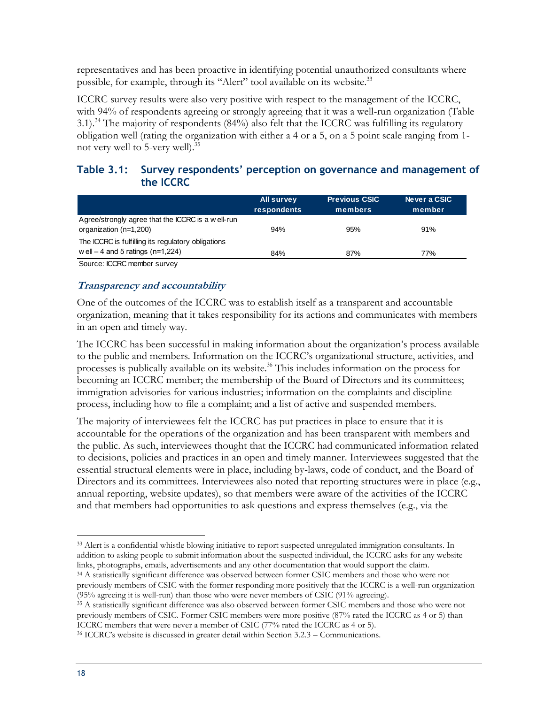representatives and has been proactive in identifying potential unauthorized consultants where possible, for example, through its "Alert" tool available on its website.<sup>33</sup>

ICCRC survey results were also very positive with respect to the management of the ICCRC, with 94% of respondents agreeing or strongly agreeing that it was a well-run organization (Table 3.1).<sup>34</sup> The majority of respondents (84%) also felt that the ICCRC was fulfilling its regulatory obligation well (rating the organization with either a 4 or a 5, on a 5 point scale ranging from 1 not very well to 5-very well).<sup>35</sup>

#### <span id="page-29-0"></span>**Table 3.1: Survey respondents' perception on governance and management of the ICCRC**

|                                                                                         | <b>All survey</b><br>respondents | <b>Previous CSIC</b><br>members | Never a CSIC.<br>member |
|-----------------------------------------------------------------------------------------|----------------------------------|---------------------------------|-------------------------|
| Agree/strongly agree that the ICCRC is a well-run<br>organization (n=1,200)             | 94%                              | 95%                             | 91%                     |
| The ICCRC is fulfilling its regulatory obligations<br>well $-4$ and 5 ratings (n=1,224) |                                  |                                 |                         |
|                                                                                         | 84%                              | 87%                             | 77%                     |
|                                                                                         |                                  |                                 |                         |

Source: ICCRC member survey

#### **Transparency and accountability**

One of the outcomes of the ICCRC was to establish itself as a transparent and accountable organization, meaning that it takes responsibility for its actions and communicates with members in an open and timely way.

The ICCRC has been successful in making information about the organization's process available to the public and members. Information on the ICCRC's organizational structure, activities, and processes is publically available on its website.<sup>36</sup> This includes information on the process for becoming an ICCRC member; the membership of the Board of Directors and its committees; immigration advisories for various industries; information on the complaints and discipline process, including how to file a complaint; and a list of active and suspended members.

The majority of interviewees felt the ICCRC has put practices in place to ensure that it is accountable for the operations of the organization and has been transparent with members and the public. As such, interviewees thought that the ICCRC had communicated information related to decisions, policies and practices in an open and timely manner. Interviewees suggested that the essential structural elements were in place, including by-laws, code of conduct, and the Board of Directors and its committees. Interviewees also noted that reporting structures were in place (e.g., annual reporting, website updates), so that members were aware of the activities of the ICCRC and that members had opportunities to ask questions and express themselves (e.g., via the

<sup>34</sup> A statistically significant difference was observed between former CSIC members and those who were not previously members of CSIC with the former responding more positively that the ICCRC is a well-run organization (95% agreeing it is well-run) than those who were never members of CSIC (91% agreeing).

<sup>35</sup> A statistically significant difference was also observed between former CSIC members and those who were not previously members of CSIC. Former CSIC members were more positive (87% rated the ICCRC as 4 or 5) than ICCRC members that were never a member of CSIC (77% rated the ICCRC as 4 or 5).

 $\overline{a}$ <sup>33</sup> Alert is a confidential whistle blowing initiative to report suspected unregulated immigration consultants. In addition to asking people to submit information about the suspected individual, the ICCRC asks for any website links, photographs, emails, advertisements and any other documentation that would support the claim.

<sup>36</sup> ICCRC's website is discussed in greater detail within Section 3.2.3 – Communications.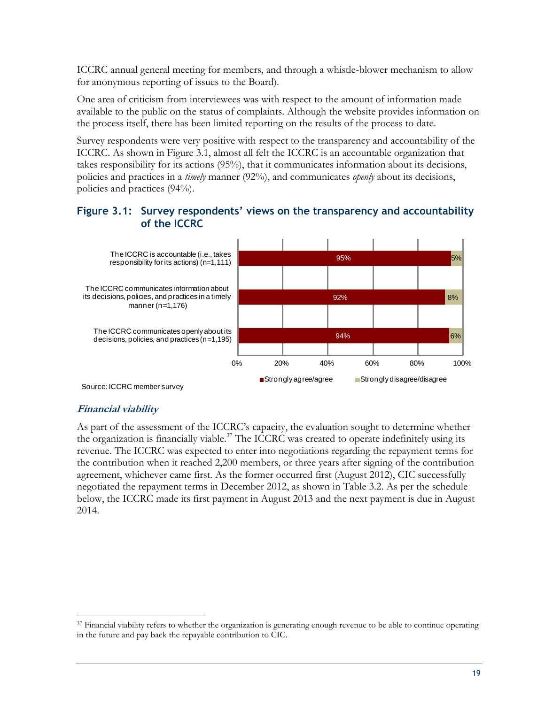ICCRC annual general meeting for members, and through a whistle-blower mechanism to allow for anonymous reporting of issues to the Board).

One area of criticism from interviewees was with respect to the amount of information made available to the public on the status of complaints. Although the website provides information on the process itself, there has been limited reporting on the results of the process to date.

Survey respondents were very positive with respect to the transparency and accountability of the ICCRC. As shown in Figure 3.1, almost all felt the ICCRC is an accountable organization that takes responsibility for its actions (95%), that it communicates information about its decisions, policies and practices in a *timely* manner (92%), and communicates *openly* about its decisions, policies and practices (94%).

#### <span id="page-30-0"></span>**Figure 3.1: Survey respondents' views on the transparency and accountability of the ICCRC**



#### **Financial viability**

 $\overline{a}$ 

As part of the assessment of the ICCRC's capacity, the evaluation sought to determine whether the organization is financially viable.<sup>37</sup> The ICCRC was created to operate indefinitely using its revenue. The ICCRC was expected to enter into negotiations regarding the repayment terms for the contribution when it reached 2,200 members, or three years after signing of the contribution agreement, whichever came first. As the former occurred first (August 2012), CIC successfully negotiated the repayment terms in December 2012, as shown in Table 3.2. As per the schedule below, the ICCRC made its first payment in August 2013 and the next payment is due in August 2014.

<sup>&</sup>lt;sup>37</sup> Financial viability refers to whether the organization is generating enough revenue to be able to continue operating in the future and pay back the repayable contribution to CIC.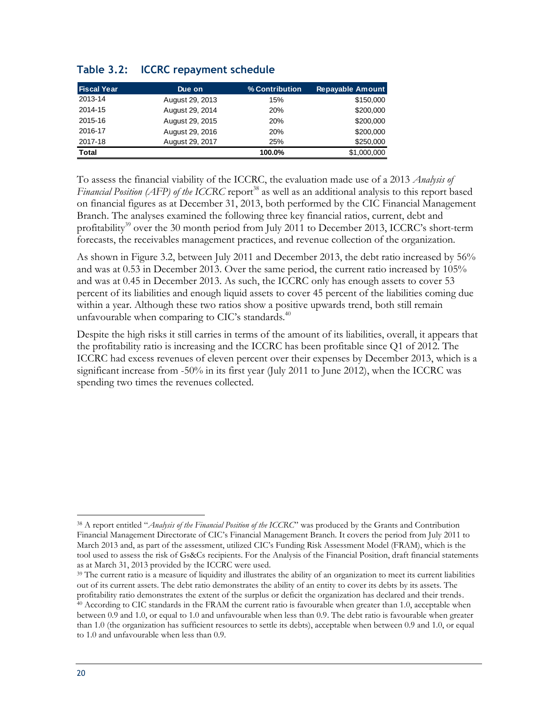| <b>Fiscal Year</b> | Due on          | % Contribution | <b>Repayable Amount</b> |
|--------------------|-----------------|----------------|-------------------------|
| 2013-14            | August 29, 2013 | 15%            | \$150,000               |
| 2014-15            | August 29, 2014 | <b>20%</b>     | \$200,000               |
| 2015-16            | August 29, 2015 | 20%            | \$200,000               |
| 2016-17            | August 29, 2016 | 20%            | \$200,000               |
| 2017-18            | August 29, 2017 | 25%            | \$250,000               |
| <b>Total</b>       |                 | 100.0%         | \$1,000,000             |

#### <span id="page-31-0"></span>**Table 3.2: ICCRC repayment schedule**

To assess the financial viability of the ICCRC, the evaluation made use of a 2013 *Analysis of Financial Position (AFP) of the ICCRC* report<sup>38</sup> as well as an additional analysis to this report based on financial figures as at December 31, 2013, both performed by the CIC Financial Management Branch. The analyses examined the following three key financial ratios, current, debt and profitability<sup>39</sup> over the 30 month period from July 2011 to December 2013, ICCRC's short-term forecasts, the receivables management practices, and revenue collection of the organization.

As shown in Figure 3.2, between July 2011 and December 2013, the debt ratio increased by 56% and was at 0.53 in December 2013. Over the same period, the current ratio increased by 105% and was at 0.45 in December 2013. As such, the ICCRC only has enough assets to cover 53 percent of its liabilities and enough liquid assets to cover 45 percent of the liabilities coming due within a year. Although these two ratios show a positive upwards trend, both still remain unfavourable when comparing to CIC's standards. $40$ 

Despite the high risks it still carries in terms of the amount of its liabilities, overall, it appears that the profitability ratio is increasing and the ICCRC has been profitable since Q1 of 2012. The ICCRC had excess revenues of eleven percent over their expenses by December 2013, which is a significant increase from -50% in its first year (July 2011 to June 2012), when the ICCRC was spending two times the revenues collected.

 $\overline{a}$ <sup>38</sup> A report entitled "*Analysis of the Financial Position of the ICCRC*" was produced by the Grants and Contribution Financial Management Directorate of CIC's Financial Management Branch. It covers the period from July 2011 to March 2013 and, as part of the assessment, utilized CIC's Funding Risk Assessment Model (FRAM), which is the tool used to assess the risk of Gs&Cs recipients. For the Analysis of the Financial Position, draft financial statements as at March 31, 2013 provided by the ICCRC were used.

<sup>&</sup>lt;sup>39</sup> The current ratio is a measure of liquidity and illustrates the ability of an organization to meet its current liabilities out of its current assets. The debt ratio demonstrates the ability of an entity to cover its debts by its assets. The profitability ratio demonstrates the extent of the surplus or deficit the organization has declared and their trends. <sup>40</sup> According to CIC standards in the FRAM the current ratio is favourable when greater than 1.0, acceptable when between 0.9 and 1.0, or equal to 1.0 and unfavourable when less than 0.9. The debt ratio is favourable when greater than 1.0 (the organization has sufficient resources to settle its debts), acceptable when between 0.9 and 1.0, or equal to 1.0 and unfavourable when less than 0.9.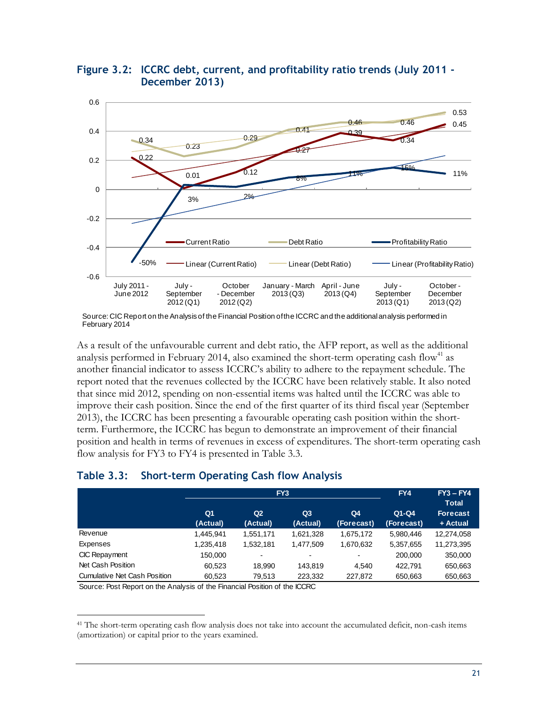

<span id="page-32-1"></span>**Figure 3.2: ICCRC debt, current, and profitability ratio trends (July 2011 - December 2013)**

As a result of the unfavourable current and debt ratio, the AFP report, as well as the additional analysis performed in February 2014, also examined the short-term operating cash flow<sup>41</sup> as another financial indicator to assess ICCRC's ability to adhere to the repayment schedule. The report noted that the revenues collected by the ICCRC have been relatively stable. It also noted that since mid 2012, spending on non-essential items was halted until the ICCRC was able to improve their cash position. Since the end of the first quarter of its third fiscal year (September 2013), the ICCRC has been presenting a favourable operating cash position within the shortterm. Furthermore, the ICCRC has begun to demonstrate an improvement of their financial position and health in terms of revenues in excess of expenditures. The short-term operating cash flow analysis for FY3 to FY4 is presented in Table 3.3.

#### <span id="page-32-0"></span>**Table 3.3: Short-term Operating Cash flow Analysis**

|                                     | FY <sub>3</sub>            |                            |                            | FY4                          | $FY3 - FY4$<br><b>Total</b> |                             |
|-------------------------------------|----------------------------|----------------------------|----------------------------|------------------------------|-----------------------------|-----------------------------|
|                                     | Q <sub>1</sub><br>(Actual) | Q <sub>2</sub><br>(Actual) | Q <sub>3</sub><br>(Actual) | Q <sub>4</sub><br>(Forecast) | $Q1-Q4$<br>(Forecast)       | <b>Forecast</b><br>+ Actual |
| Revenue                             | 1,445,941                  | 1,551,171                  | 1,621,328                  | 1,675,172                    | 5,980,446                   | 12,274,058                  |
| Expenses                            | 1,235,418                  | 1,532,181                  | 1,477,509                  | 1,670,632                    | 5,357,655                   | 11,273,395                  |
| CIC Repayment                       | 150,000                    | ٠                          | $\blacksquare$             | $\overline{\phantom{a}}$     | 200,000                     | 350,000                     |
| Net Cash Position                   | 60.523                     | 18.990                     | 143.819                    | 4.540                        | 422.791                     | 650,663                     |
| <b>Cumulative Net Cash Position</b> | 60,523                     | 79,513                     | 223,332                    | 227,872                      | 650,663                     | 650,663                     |

Source: Post Report on the Analysis of the Financial Position of the ICCRC

Source: CIC Report on the Analysis of the Financial Position of the ICCRC and the additional analysis performed in February 2014

<sup>41</sup> The short-term operating cash flow analysis does not take into account the accumulated deficit, non-cash items (amortization) or capital prior to the years examined.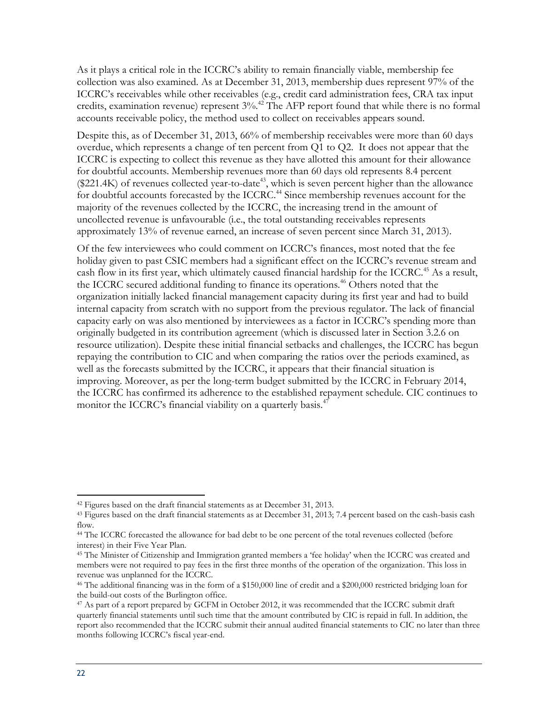As it plays a critical role in the ICCRC's ability to remain financially viable, membership fee collection was also examined. As at December 31, 2013, membership dues represent 97% of the ICCRC's receivables while other receivables (e.g., credit card administration fees, CRA tax input credits, examination revenue) represent  $3\%$ .<sup>42</sup> The AFP report found that while there is no formal accounts receivable policy, the method used to collect on receivables appears sound.

Despite this, as of December 31, 2013, 66% of membership receivables were more than 60 days overdue, which represents a change of ten percent from Q1 to Q2. It does not appear that the ICCRC is expecting to collect this revenue as they have allotted this amount for their allowance for doubtful accounts. Membership revenues more than 60 days old represents 8.4 percent  $($221.4K)$  of revenues collected year-to-date<sup>43</sup>, which is seven percent higher than the allowance for doubtful accounts forecasted by the ICCRC.<sup>44</sup> Since membership revenues account for the majority of the revenues collected by the ICCRC, the increasing trend in the amount of uncollected revenue is unfavourable (i.e., the total outstanding receivables represents approximately 13% of revenue earned, an increase of seven percent since March 31, 2013).

Of the few interviewees who could comment on ICCRC's finances, most noted that the fee holiday given to past CSIC members had a significant effect on the ICCRC's revenue stream and cash flow in its first year, which ultimately caused financial hardship for the ICCRC.<sup>45</sup> As a result, the ICCRC secured additional funding to finance its operations.<sup>46</sup> Others noted that the organization initially lacked financial management capacity during its first year and had to build internal capacity from scratch with no support from the previous regulator. The lack of financial capacity early on was also mentioned by interviewees as a factor in ICCRC's spending more than originally budgeted in its contribution agreement (which is discussed later in Section 3.2.6 on resource utilization). Despite these initial financial setbacks and challenges, the ICCRC has begun repaying the contribution to CIC and when comparing the ratios over the periods examined, as well as the forecasts submitted by the ICCRC, it appears that their financial situation is improving. Moreover, as per the long-term budget submitted by the ICCRC in February 2014, the ICCRC has confirmed its adherence to the established repayment schedule. CIC continues to monitor the ICCRC's financial viability on a quarterly basis.<sup>47</sup>

<sup>&</sup>lt;sup>42</sup> Figures based on the draft financial statements as at December 31, 2013.

<sup>43</sup> Figures based on the draft financial statements as at December 31, 2013; 7.4 percent based on the cash-basis cash flow.

<sup>44</sup> The ICCRC forecasted the allowance for bad debt to be one percent of the total revenues collected (before interest) in their Five Year Plan.

<sup>45</sup> The Minister of Citizenship and Immigration granted members a 'fee holiday' when the ICCRC was created and members were not required to pay fees in the first three months of the operation of the organization. This loss in revenue was unplanned for the ICCRC.

<sup>46</sup> The additional financing was in the form of a \$150,000 line of credit and a \$200,000 restricted bridging loan for the build-out costs of the Burlington office.

<sup>47</sup> As part of a report prepared by GCFM in October 2012, it was recommended that the ICCRC submit draft quarterly financial statements until such time that the amount contributed by CIC is repaid in full. In addition, the report also recommended that the ICCRC submit their annual audited financial statements to CIC no later than three months following ICCRC's fiscal year-end.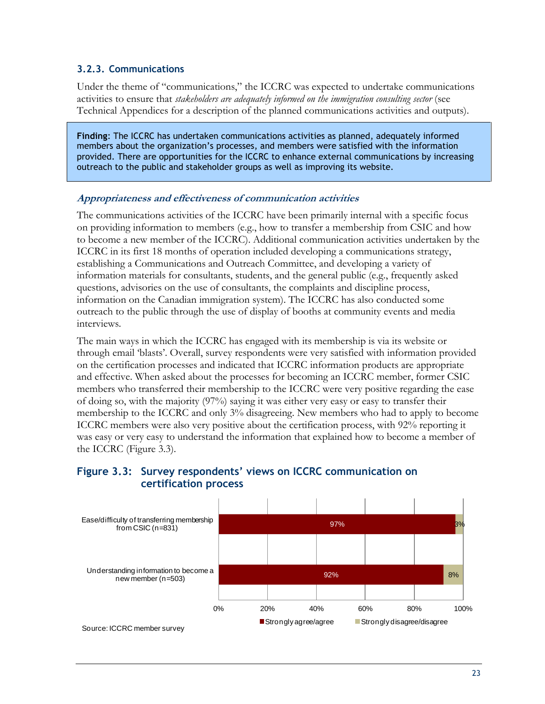#### <span id="page-34-0"></span>**3.2.3. Communications**

Under the theme of "communications," the ICCRC was expected to undertake communications activities to ensure that *stakeholders are adequately informed on the immigration consulting sector* (see Technical Appendices for a description of the planned communications activities and outputs).

**Finding**: The ICCRC has undertaken communications activities as planned, adequately informed members about the organization's processes, and members were satisfied with the information provided. There are opportunities for the ICCRC to enhance external communications by increasing outreach to the public and stakeholder groups as well as improving its website.

#### **Appropriateness and effectiveness of communication activities**

The communications activities of the ICCRC have been primarily internal with a specific focus on providing information to members (e.g., how to transfer a membership from CSIC and how to become a new member of the ICCRC). Additional communication activities undertaken by the ICCRC in its first 18 months of operation included developing a communications strategy, establishing a Communications and Outreach Committee, and developing a variety of information materials for consultants, students, and the general public (e.g., frequently asked questions, advisories on the use of consultants, the complaints and discipline process, information on the Canadian immigration system). The ICCRC has also conducted some outreach to the public through the use of display of booths at community events and media interviews.

The main ways in which the ICCRC has engaged with its membership is via its website or through email 'blasts'. Overall, survey respondents were very satisfied with information provided on the certification processes and indicated that ICCRC information products are appropriate and effective. When asked about the processes for becoming an ICCRC member, former CSIC members who transferred their membership to the ICCRC were very positive regarding the ease of doing so, with the majority (97%) saying it was either very easy or easy to transfer their membership to the ICCRC and only 3% disagreeing. New members who had to apply to become ICCRC members were also very positive about the certification process, with 92% reporting it was easy or very easy to understand the information that explained how to become a member of the ICCRC (Figure 3.3).



#### <span id="page-34-1"></span>**Figure 3.3: Survey respondents' views on ICCRC communication on certification process**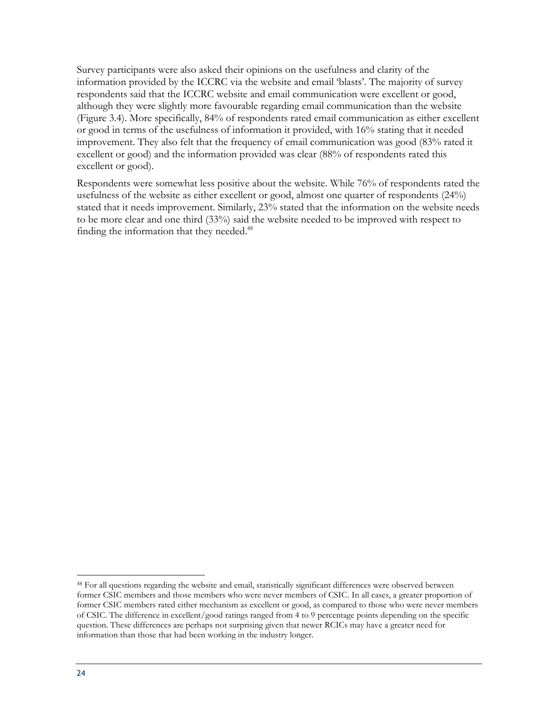Survey participants were also asked their opinions on the usefulness and clarity of the information provided by the ICCRC via the website and email 'blasts'. The majority of survey respondents said that the ICCRC website and email communication were excellent or good, although they were slightly more favourable regarding email communication than the website (Figure 3.4). More specifically, 84% of respondents rated email communication as either excellent or good in terms of the usefulness of information it provided, with 16% stating that it needed improvement. They also felt that the frequency of email communication was good (83% rated it excellent or good) and the information provided was clear (88% of respondents rated this excellent or good).

Respondents were somewhat less positive about the website. While 76% of respondents rated the usefulness of the website as either excellent or good, almost one quarter of respondents (24%) stated that it needs improvement. Similarly, 23% stated that the information on the website needs to be more clear and one third (33%) said the website needed to be improved with respect to finding the information that they needed.<sup>48</sup>

<sup>48</sup> For all questions regarding the website and email, statistically significant differences were observed between former CSIC members and those members who were never members of CSIC. In all cases, a greater proportion of former CSIC members rated either mechanism as excellent or good, as compared to those who were never members of CSIC. The difference in excellent/good ratings ranged from 4 to 9 percentage points depending on the specific question. These differences are perhaps not surprising given that newer RCICs may have a greater need for information than those that had been working in the industry longer.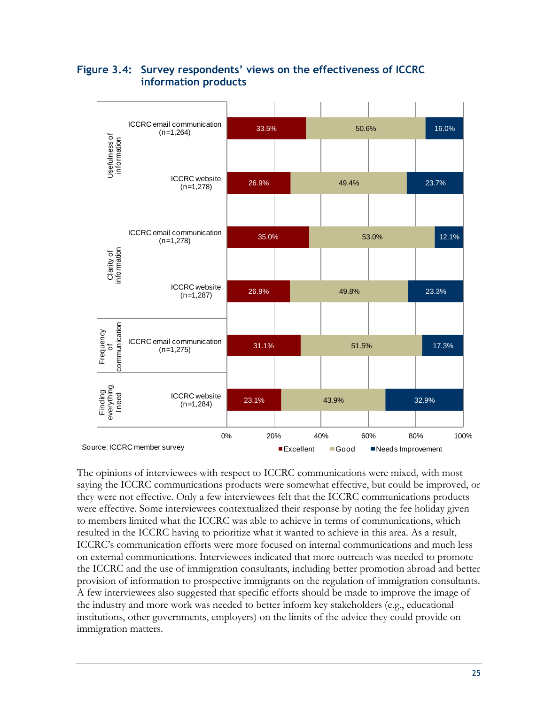

#### <span id="page-36-0"></span>**Figure 3.4: Survey respondents' views on the effectiveness of ICCRC information products**

The opinions of interviewees with respect to ICCRC communications were mixed, with most saying the ICCRC communications products were somewhat effective, but could be improved, or they were not effective. Only a few interviewees felt that the ICCRC communications products were effective. Some interviewees contextualized their response by noting the fee holiday given to members limited what the ICCRC was able to achieve in terms of communications, which resulted in the ICCRC having to prioritize what it wanted to achieve in this area. As a result, ICCRC's communication efforts were more focused on internal communications and much less on external communications. Interviewees indicated that more outreach was needed to promote the ICCRC and the use of immigration consultants, including better promotion abroad and better provision of information to prospective immigrants on the regulation of immigration consultants. A few interviewees also suggested that specific efforts should be made to improve the image of the industry and more work was needed to better inform key stakeholders (e.g., educational institutions, other governments, employers) on the limits of the advice they could provide on immigration matters.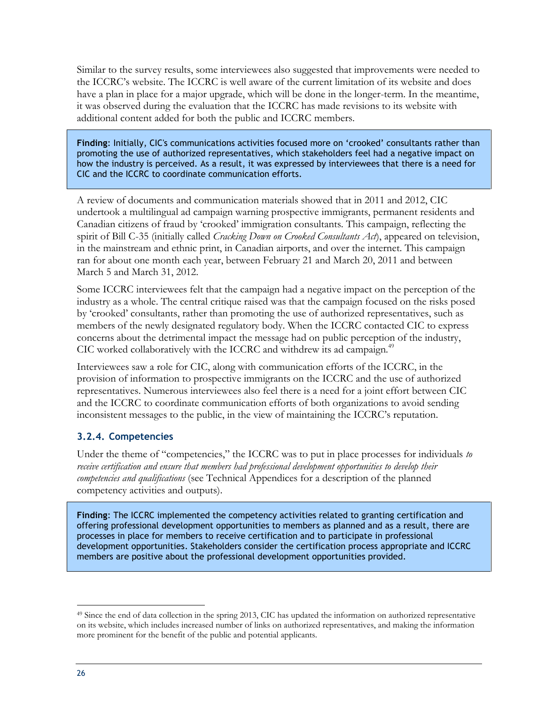Similar to the survey results, some interviewees also suggested that improvements were needed to the ICCRC's website. The ICCRC is well aware of the current limitation of its website and does have a plan in place for a major upgrade, which will be done in the longer-term. In the meantime, it was observed during the evaluation that the ICCRC has made revisions to its website with additional content added for both the public and ICCRC members.

**Finding**: Initially, CIC's communications activities focused more on 'crooked' consultants rather than promoting the use of authorized representatives, which stakeholders feel had a negative impact on how the industry is perceived. As a result, it was expressed by interviewees that there is a need for CIC and the ICCRC to coordinate communication efforts.

A review of documents and communication materials showed that in 2011 and 2012, CIC undertook a multilingual ad campaign warning prospective immigrants, permanent residents and Canadian citizens of fraud by 'crooked' immigration consultants. This campaign, reflecting the spirit of Bill C-35 (initially called *Cracking Down on Crooked Consultants Act*), appeared on television, in the mainstream and ethnic print, in Canadian airports, and over the internet. This campaign ran for about one month each year, between February 21 and March 20, 2011 and between March 5 and March 31, 2012.

Some ICCRC interviewees felt that the campaign had a negative impact on the perception of the industry as a whole. The central critique raised was that the campaign focused on the risks posed by 'crooked' consultants, rather than promoting the use of authorized representatives, such as members of the newly designated regulatory body. When the ICCRC contacted CIC to express concerns about the detrimental impact the message had on public perception of the industry, CIC worked collaboratively with the ICCRC and withdrew its ad campaign.<sup>49</sup>

Interviewees saw a role for CIC, along with communication efforts of the ICCRC, in the provision of information to prospective immigrants on the ICCRC and the use of authorized representatives. Numerous interviewees also feel there is a need for a joint effort between CIC and the ICCRC to coordinate communication efforts of both organizations to avoid sending inconsistent messages to the public, in the view of maintaining the ICCRC's reputation.

#### <span id="page-37-0"></span>**3.2.4. Competencies**

Under the theme of "competencies," the ICCRC was to put in place processes for individuals *to receive certification and ensure that members had professional development opportunities to develop their competencies and qualifications* (see Technical Appendices for a description of the planned competency activities and outputs).

**Finding**: The ICCRC implemented the competency activities related to granting certification and offering professional development opportunities to members as planned and as a result, there are processes in place for members to receive certification and to participate in professional development opportunities. Stakeholders consider the certification process appropriate and ICCRC members are positive about the professional development opportunities provided.

<sup>49</sup> Since the end of data collection in the spring 2013, CIC has updated the information on authorized representative on its website, which includes increased number of links on authorized representatives, and making the information more prominent for the benefit of the public and potential applicants.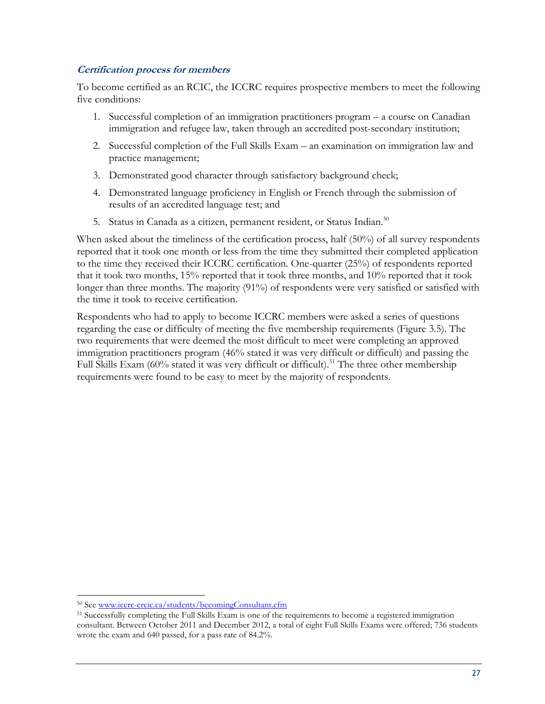#### **Certification process for members**

To become certified as an RCIC, the ICCRC requires prospective members to meet the following five conditions:

- 1. Successful completion of an immigration practitioners program a course on Canadian immigration and refugee law, taken through an accredited post-secondary institution;
- 2. Successful completion of the Full Skills Exam an examination on immigration law and practice management;
- 3. Demonstrated good character through satisfactory background check;
- 4. Demonstrated language proficiency in English or French through the submission of results of an accredited language test; and
- 5. Status in Canada as a citizen, permanent resident, or Status Indian.<sup>50</sup>

When asked about the timeliness of the certification process, half (50%) of all survey respondents reported that it took one month or less from the time they submitted their completed application to the time they received their ICCRC certification. One-quarter (25%) of respondents reported that it took two months, 15% reported that it took three months, and 10% reported that it took longer than three months. The majority (91%) of respondents were very satisfied or satisfied with the time it took to receive certification.

Respondents who had to apply to become ICCRC members were asked a series of questions regarding the ease or difficulty of meeting the five membership requirements (Figure 3.5). The two requirements that were deemed the most difficult to meet were completing an approved immigration practitioners program (46% stated it was very difficult or difficult) and passing the Full Skills Exam (60% stated it was very difficult or difficult).<sup>51</sup> The three other membership requirements were found to be easy to meet by the majority of respondents.

<sup>50</sup> Se[e www.iccrc-crcic.ca/students/becomingConsultant.cfm](http://www.iccrc-crcic.ca/students/becomingConsultant.cfm)

<sup>51</sup> Successfully completing the Full Skills Exam is one of the requirements to become a registered immigration consultant. Between October 2011 and December 2012, a total of eight Full Skills Exams were offered; 736 students wrote the exam and 640 passed, for a pass rate of 84.2%.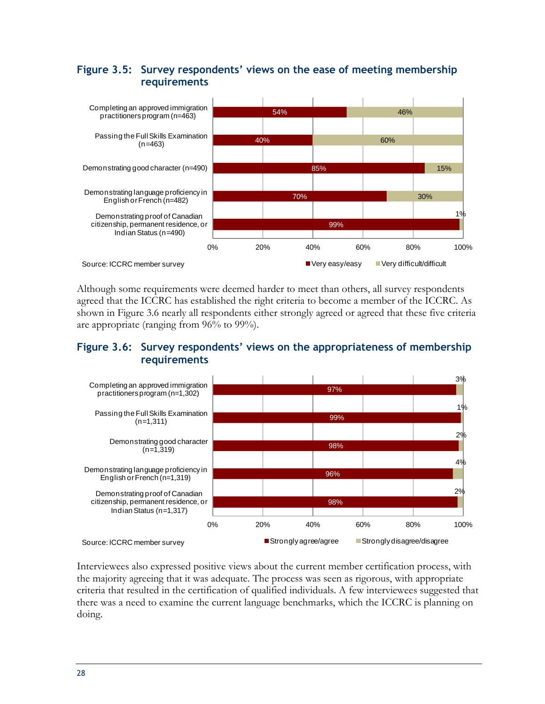#### <span id="page-39-0"></span>**Figure 3.5: Survey respondents' views on the ease of meeting membership requirements**



Although some requirements were deemed harder to meet than others, all survey respondents agreed that the ICCRC has established the right criteria to become a member of the ICCRC. As shown in Figure 3.6 nearly all respondents either strongly agreed or agreed that these five criteria are appropriate (ranging from 96% to 99%).

#### <span id="page-39-1"></span>**Figure 3.6: Survey respondents' views on the appropriateness of membership requirements**



Interviewees also expressed positive views about the current member certification process, with the majority agreeing that it was adequate. The process was seen as rigorous, with appropriate criteria that resulted in the certification of qualified individuals. A few interviewees suggested that there was a need to examine the current language benchmarks, which the ICCRC is planning on doing.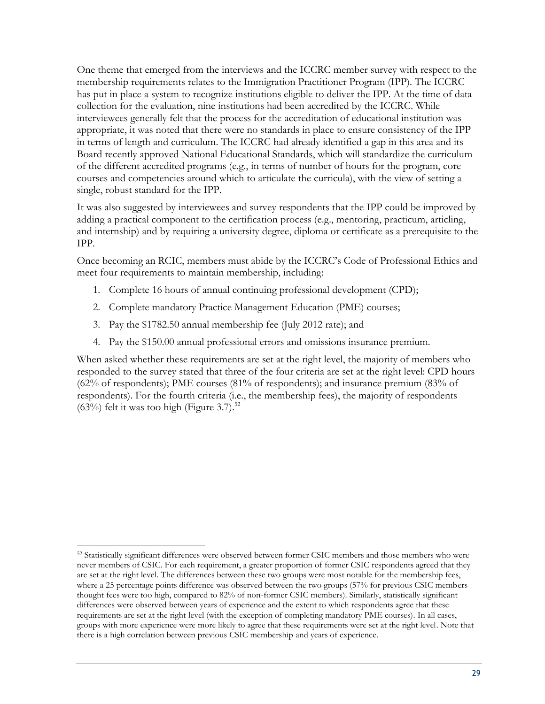One theme that emerged from the interviews and the ICCRC member survey with respect to the membership requirements relates to the Immigration Practitioner Program (IPP). The ICCRC has put in place a system to recognize institutions eligible to deliver the IPP. At the time of data collection for the evaluation, nine institutions had been accredited by the ICCRC. While interviewees generally felt that the process for the accreditation of educational institution was appropriate, it was noted that there were no standards in place to ensure consistency of the IPP in terms of length and curriculum. The ICCRC had already identified a gap in this area and its Board recently approved National Educational Standards, which will standardize the curriculum of the different accredited programs (e.g., in terms of number of hours for the program, core courses and competencies around which to articulate the curricula), with the view of setting a single, robust standard for the IPP.

It was also suggested by interviewees and survey respondents that the IPP could be improved by adding a practical component to the certification process (e.g., mentoring, practicum, articling, and internship) and by requiring a university degree, diploma or certificate as a prerequisite to the IPP.

Once becoming an RCIC, members must abide by the ICCRC's Code of Professional Ethics and meet four requirements to maintain membership, including:

- 1. Complete 16 hours of annual continuing professional development (CPD);
- 2. Complete mandatory Practice Management Education (PME) courses;
- 3. Pay the \$1782.50 annual membership fee (July 2012 rate); and

 $\overline{a}$ 

4. Pay the \$150.00 annual professional errors and omissions insurance premium.

When asked whether these requirements are set at the right level, the majority of members who responded to the survey stated that three of the four criteria are set at the right level: CPD hours (62% of respondents); PME courses (81% of respondents); and insurance premium (83% of respondents). For the fourth criteria (i.e., the membership fees), the majority of respondents  $(63\%)$  felt it was too high (Figure 3.7).<sup>52</sup>

<sup>52</sup> Statistically significant differences were observed between former CSIC members and those members who were never members of CSIC. For each requirement, a greater proportion of former CSIC respondents agreed that they are set at the right level. The differences between these two groups were most notable for the membership fees, where a 25 percentage points difference was observed between the two groups (57% for previous CSIC members thought fees were too high, compared to 82% of non-former CSIC members). Similarly, statistically significant differences were observed between years of experience and the extent to which respondents agree that these requirements are set at the right level (with the exception of completing mandatory PME courses). In all cases, groups with more experience were more likely to agree that these requirements were set at the right level. Note that there is a high correlation between previous CSIC membership and years of experience.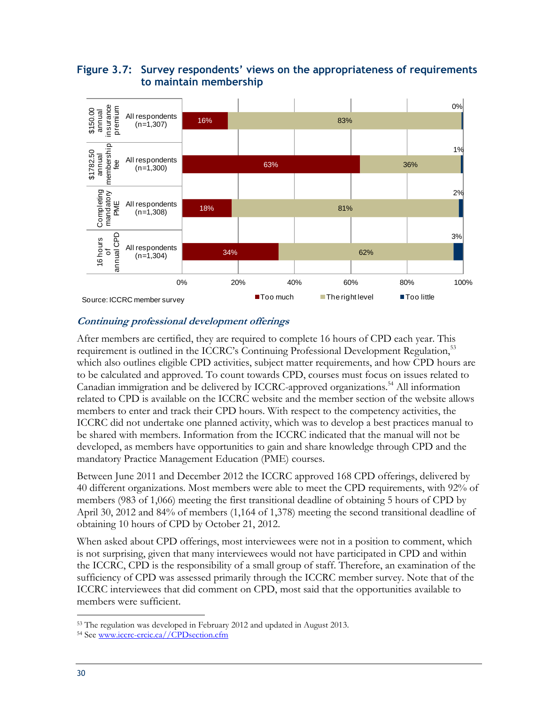#### <span id="page-41-0"></span>**Figure 3.7: Survey respondents' views on the appropriateness of requirements to maintain membership**



#### **Continuing professional development offerings**

After members are certified, they are required to complete 16 hours of CPD each year. This requirement is outlined in the ICCRC's Continuing Professional Development Regulation,<sup>53</sup> which also outlines eligible CPD activities, subject matter requirements, and how CPD hours are to be calculated and approved. To count towards CPD, courses must focus on issues related to Canadian immigration and be delivered by ICCRC-approved organizations.<sup>54</sup> All information related to CPD is available on the ICCRC website and the member section of the website allows members to enter and track their CPD hours. With respect to the competency activities, the ICCRC did not undertake one planned activity, which was to develop a best practices manual to be shared with members. Information from the ICCRC indicated that the manual will not be developed, as members have opportunities to gain and share knowledge through CPD and the mandatory Practice Management Education (PME) courses.

Between June 2011 and December 2012 the ICCRC approved 168 CPD offerings, delivered by 40 different organizations. Most members were able to meet the CPD requirements, with 92% of members (983 of 1,066) meeting the first transitional deadline of obtaining 5 hours of CPD by April 30, 2012 and 84% of members (1,164 of 1,378) meeting the second transitional deadline of obtaining 10 hours of CPD by October 21, 2012.

When asked about CPD offerings, most interviewees were not in a position to comment, which is not surprising, given that many interviewees would not have participated in CPD and within the ICCRC, CPD is the responsibility of a small group of staff. Therefore, an examination of the sufficiency of CPD was assessed primarily through the ICCRC member survey. Note that of the ICCRC interviewees that did comment on CPD, most said that the opportunities available to members were sufficient.

<sup>53</sup> The regulation was developed in February 2012 and updated in August 2013.

<sup>54</sup> Se[e www.iccrc-crcic.ca//CPDsection.cfm](http://www.iccrc-crcic.ca/CPDsection.cfm)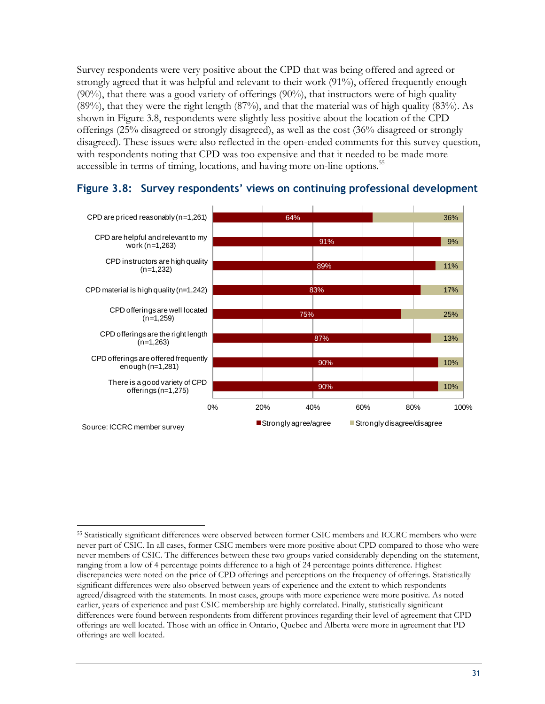Survey respondents were very positive about the CPD that was being offered and agreed or strongly agreed that it was helpful and relevant to their work (91%), offered frequently enough  $(90\%)$ , that there was a good variety of offerings  $(90\%)$ , that instructors were of high quality (89%), that they were the right length (87%), and that the material was of high quality (83%). As shown in Figure 3.8, respondents were slightly less positive about the location of the CPD offerings (25% disagreed or strongly disagreed), as well as the cost (36% disagreed or strongly disagreed). These issues were also reflected in the open-ended comments for this survey question, with respondents noting that CPD was too expensive and that it needed to be made more accessible in terms of timing, locations, and having more on-line options.<sup>55</sup>



#### <span id="page-42-0"></span>**Figure 3.8: Survey respondents' views on continuing professional development**

 $\overline{a}$ <sup>55</sup> Statistically significant differences were observed between former CSIC members and ICCRC members who were never part of CSIC. In all cases, former CSIC members were more positive about CPD compared to those who were never members of CSIC. The differences between these two groups varied considerably depending on the statement, ranging from a low of 4 percentage points difference to a high of 24 percentage points difference. Highest discrepancies were noted on the price of CPD offerings and perceptions on the frequency of offerings. Statistically significant differences were also observed between years of experience and the extent to which respondents agreed/disagreed with the statements. In most cases, groups with more experience were more positive. As noted earlier, years of experience and past CSIC membership are highly correlated. Finally, statistically significant differences were found between respondents from different provinces regarding their level of agreement that CPD offerings are well located. Those with an office in Ontario, Quebec and Alberta were more in agreement that PD offerings are well located.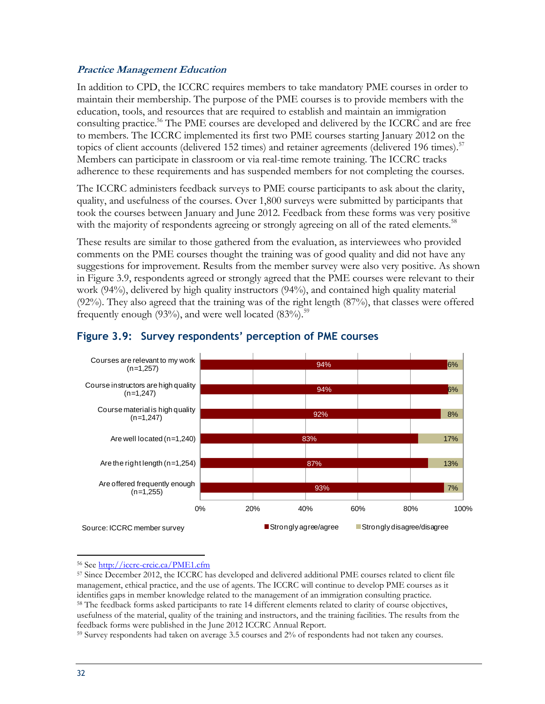#### **Practice Management Education**

In addition to CPD, the ICCRC requires members to take mandatory PME courses in order to maintain their membership. The purpose of the PME courses is to provide members with the education, tools, and resources that are required to establish and maintain an immigration consulting practice.<sup>56</sup> The PME courses are developed and delivered by the ICCRC and are free to members. The ICCRC implemented its first two PME courses starting January 2012 on the topics of client accounts (delivered 152 times) and retainer agreements (delivered 196 times).<sup>57</sup> Members can participate in classroom or via real-time remote training. The ICCRC tracks adherence to these requirements and has suspended members for not completing the courses.

The ICCRC administers feedback surveys to PME course participants to ask about the clarity, quality, and usefulness of the courses. Over 1,800 surveys were submitted by participants that took the courses between January and June 2012. Feedback from these forms was very positive with the majority of respondents agreeing or strongly agreeing on all of the rated elements.<sup>58</sup>

These results are similar to those gathered from the evaluation, as interviewees who provided comments on the PME courses thought the training was of good quality and did not have any suggestions for improvement. Results from the member survey were also very positive. As shown in Figure 3.9, respondents agreed or strongly agreed that the PME courses were relevant to their work (94%), delivered by high quality instructors (94%), and contained high quality material (92%). They also agreed that the training was of the right length (87%), that classes were offered frequently enough (93%), and were well located (83%).<sup>59</sup>



#### <span id="page-43-0"></span>**Figure 3.9: Survey respondents' perception of PME courses**

<sup>56</sup> Se[e http://iccrc-crcic.ca/PME1.cfm](http://iccrc-crcic.ca/PME1.cfm)

<sup>57</sup> Since December 2012, the ICCRC has developed and delivered additional PME courses related to client file management, ethical practice, and the use of agents. The ICCRC will continue to develop PME courses as it identifies gaps in member knowledge related to the management of an immigration consulting practice. <sup>58</sup> The feedback forms asked participants to rate 14 different elements related to clarity of course objectives, usefulness of the material, quality of the training and instructors, and the training facilities. The results from the feedback forms were published in the June 2012 ICCRC Annual Report.

<sup>59</sup> Survey respondents had taken on average 3.5 courses and 2% of respondents had not taken any courses.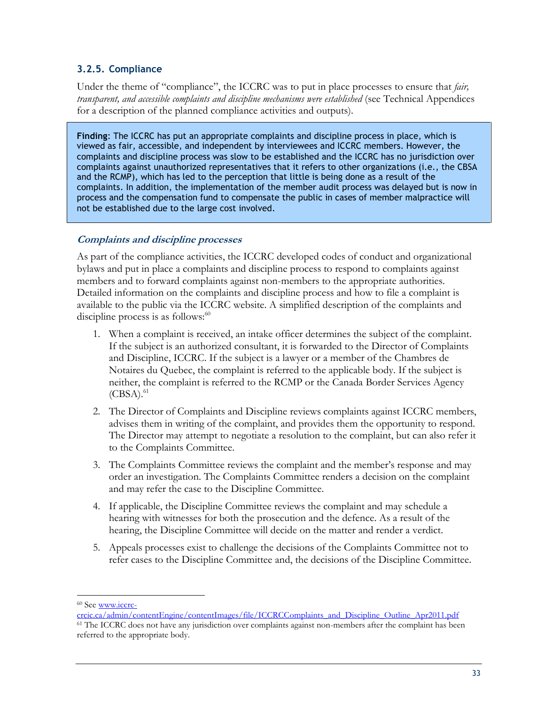#### <span id="page-44-0"></span>**3.2.5. Compliance**

Under the theme of "compliance", the ICCRC was to put in place processes to ensure that *fair, transparent, and accessible complaints and discipline mechanisms were established* (see Technical Appendices for a description of the planned compliance activities and outputs).

**Finding**: The ICCRC has put an appropriate complaints and discipline process in place, which is viewed as fair, accessible, and independent by interviewees and ICCRC members. However, the complaints and discipline process was slow to be established and the ICCRC has no jurisdiction over complaints against unauthorized representatives that it refers to other organizations (i.e., the CBSA and the RCMP), which has led to the perception that little is being done as a result of the complaints. In addition, the implementation of the member audit process was delayed but is now in process and the compensation fund to compensate the public in cases of member malpractice will not be established due to the large cost involved.

#### **Complaints and discipline processes**

As part of the compliance activities, the ICCRC developed codes of conduct and organizational bylaws and put in place a complaints and discipline process to respond to complaints against members and to forward complaints against non-members to the appropriate authorities. Detailed information on the complaints and discipline process and how to file a complaint is available to the public via the ICCRC website. A simplified description of the complaints and discipline process is as follows: $60$ 

- 1. When a complaint is received, an intake officer determines the subject of the complaint. If the subject is an authorized consultant, it is forwarded to the Director of Complaints and Discipline, ICCRC. If the subject is a lawyer or a member of the Chambres de Notaires du Quebec, the complaint is referred to the applicable body. If the subject is neither, the complaint is referred to the RCMP or the Canada Border Services Agency  $(CBSA).<sup>61</sup>$
- 2. The Director of Complaints and Discipline reviews complaints against ICCRC members, advises them in writing of the complaint, and provides them the opportunity to respond. The Director may attempt to negotiate a resolution to the complaint, but can also refer it to the Complaints Committee.
- 3. The Complaints Committee reviews the complaint and the member's response and may order an investigation. The Complaints Committee renders a decision on the complaint and may refer the case to the Discipline Committee.
- 4. If applicable, the Discipline Committee reviews the complaint and may schedule a hearing with witnesses for both the prosecution and the defence. As a result of the hearing, the Discipline Committee will decide on the matter and render a verdict.
- 5. Appeals processes exist to challenge the decisions of the Complaints Committee not to refer cases to the Discipline Committee and, the decisions of the Discipline Committee.

<sup>60</sup> Se[e www.iccrc-](http://www.iccrc-crcic.ca/admin/contentEngine/contentImages/file/ICCRCComplaints_and_Discipline_Outline_Apr2011.pdf)

[crcic.ca/admin/contentEngine/contentImages/file/ICCRCComplaints\\_and\\_Discipline\\_Outline\\_Apr2011.pdf](http://www.iccrc-crcic.ca/admin/contentEngine/contentImages/file/ICCRCComplaints_and_Discipline_Outline_Apr2011.pdf) <sup>61</sup> The ICCRC does not have any jurisdiction over complaints against non-members after the complaint has been referred to the appropriate body.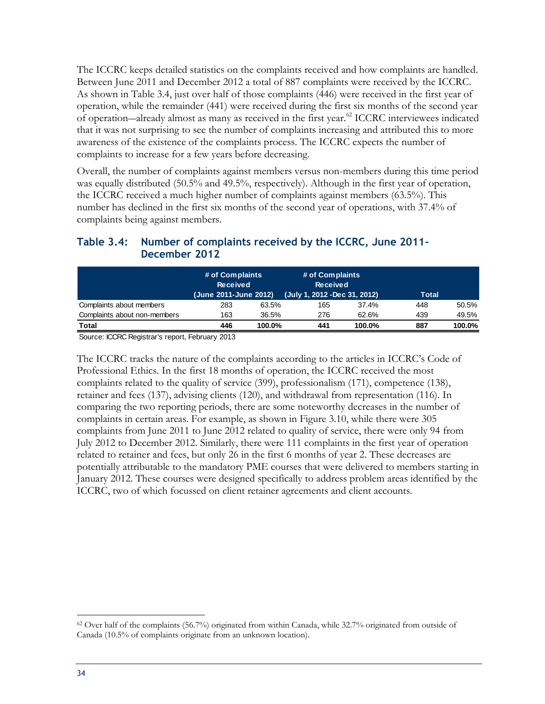The ICCRC keeps detailed statistics on the complaints received and how complaints are handled. Between June 2011 and December 2012 a total of 887 complaints were received by the ICCRC. As shown in Table 3.4, just over half of those complaints (446) were received in the first year of operation, while the remainder (441) were received during the first six months of the second year of operation―already almost as many as received in the first year.<sup>62</sup> ICCRC interviewees indicated that it was not surprising to see the number of complaints increasing and attributed this to more awareness of the existence of the complaints process. The ICCRC expects the number of complaints to increase for a few years before decreasing.

Overall, the number of complaints against members versus non-members during this time period was equally distributed (50.5% and 49.5%, respectively). Although in the first year of operation, the ICCRC received a much higher number of complaints against members (63.5%). This number has declined in the first six months of the second year of operations, with 37.4% of complaints being against members.

#### <span id="page-45-0"></span>**Table 3.4: Number of complaints received by the ICCRC, June 2011- December 2012**

|                              | # of Complaints<br><b>Received</b><br>(June 2011-June 2012) |        | # of Complaints<br><b>Received</b><br>(July 1, 2012 - Dec 31, 2012) |        | <b>Total</b> |        |
|------------------------------|-------------------------------------------------------------|--------|---------------------------------------------------------------------|--------|--------------|--------|
| Complaints about members     | 283                                                         | 63.5%  | 165                                                                 | 37.4%  | 448          | 50.5%  |
| Complaints about non-members | 163                                                         | 36.5%  | 276                                                                 | 62.6%  | 439          | 49.5%  |
| Total                        | 446                                                         | 100.0% | 441                                                                 | 100.0% | 887          | 100.0% |

Source: ICCRC Registrar's report, February 2013

The ICCRC tracks the nature of the complaints according to the articles in ICCRC's Code of Professional Ethics. In the first 18 months of operation, the ICCRC received the most complaints related to the quality of service (399), professionalism (171), competence (138), retainer and fees (137), advising clients (120), and withdrawal from representation (116). In comparing the two reporting periods, there are some noteworthy decreases in the number of complaints in certain areas. For example, as shown in Figure 3.10, while there were 305 complaints from June 2011 to June 2012 related to quality of service, there were only 94 from July 2012 to December 2012. Similarly, there were 111 complaints in the first year of operation related to retainer and fees, but only 26 in the first 6 months of year 2. These decreases are potentially attributable to the mandatory PME courses that were delivered to members starting in January 2012. These courses were designed specifically to address problem areas identified by the ICCRC, two of which focussed on client retainer agreements and client accounts.

 $\overline{a}$ <sup>62</sup> Over half of the complaints (56.7%) originated from within Canada, while 32.7% originated from outside of Canada (10.5% of complaints originate from an unknown location).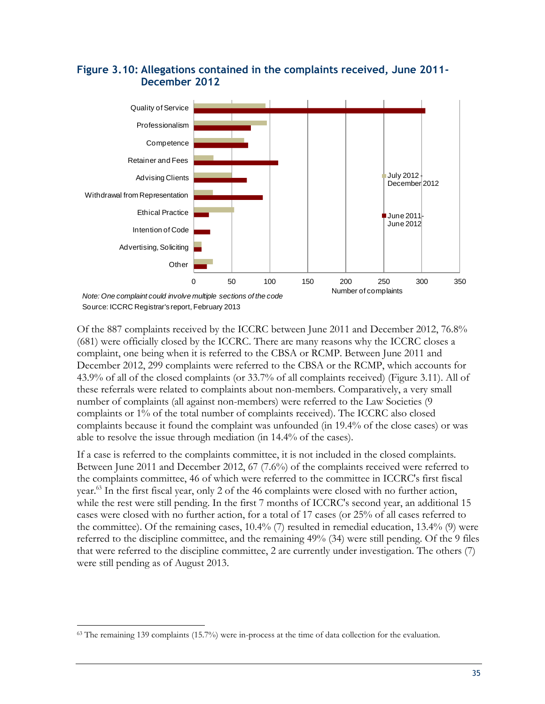

#### <span id="page-46-0"></span>**Figure 3.10: Allegations contained in the complaints received, June 2011- December 2012**

Of the 887 complaints received by the ICCRC between June 2011 and December 2012, 76.8% (681) were officially closed by the ICCRC. There are many reasons why the ICCRC closes a complaint, one being when it is referred to the CBSA or RCMP. Between June 2011 and December 2012, 299 complaints were referred to the CBSA or the RCMP, which accounts for 43.9% of all of the closed complaints (or 33.7% of all complaints received) (Figure 3.11). All of these referrals were related to complaints about non-members. Comparatively, a very small number of complaints (all against non-members) were referred to the Law Societies (9 complaints or 1% of the total number of complaints received). The ICCRC also closed complaints because it found the complaint was unfounded (in 19.4% of the close cases) or was able to resolve the issue through mediation (in 14.4% of the cases).

If a case is referred to the complaints committee, it is not included in the closed complaints. Between June 2011 and December 2012, 67 (7.6%) of the complaints received were referred to the complaints committee, 46 of which were referred to the committee in ICCRC's first fiscal year.<sup>63</sup> In the first fiscal year, only 2 of the 46 complaints were closed with no further action, while the rest were still pending. In the first 7 months of ICCRC's second year, an additional 15 cases were closed with no further action, for a total of 17 cases (or 25% of all cases referred to the committee). Of the remaining cases, 10.4% (7) resulted in remedial education, 13.4% (9) were referred to the discipline committee, and the remaining 49% (34) were still pending. Of the 9 files that were referred to the discipline committee, 2 are currently under investigation. The others (7) were still pending as of August 2013.

 $\overline{a}$ <sup>63</sup> The remaining 139 complaints (15.7%) were in-process at the time of data collection for the evaluation.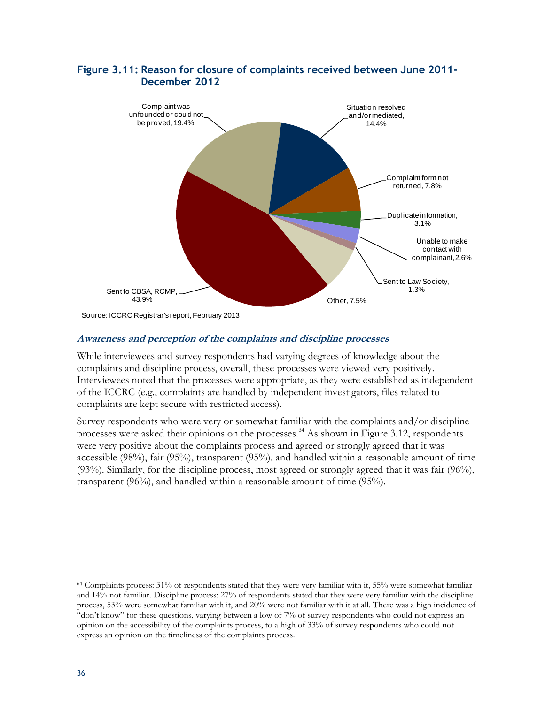

#### <span id="page-47-0"></span>**Figure 3.11: Reason for closure of complaints received between June 2011- December 2012**

#### **Awareness and perception of the complaints and discipline processes**

While interviewees and survey respondents had varying degrees of knowledge about the complaints and discipline process, overall, these processes were viewed very positively. Interviewees noted that the processes were appropriate, as they were established as independent of the ICCRC (e.g., complaints are handled by independent investigators, files related to complaints are kept secure with restricted access).

Survey respondents who were very or somewhat familiar with the complaints and/or discipline processes were asked their opinions on the processes.<sup>64</sup> As shown in Figure 3.12, respondents were very positive about the complaints process and agreed or strongly agreed that it was accessible (98%), fair (95%), transparent (95%), and handled within a reasonable amount of time (93%). Similarly, for the discipline process, most agreed or strongly agreed that it was fair (96%), transparent (96%), and handled within a reasonable amount of time (95%).

<sup>64</sup> Complaints process: 31% of respondents stated that they were very familiar with it, 55% were somewhat familiar and 14% not familiar. Discipline process: 27% of respondents stated that they were very familiar with the discipline process, 53% were somewhat familiar with it, and 20% were not familiar with it at all. There was a high incidence of "don't know" for these questions, varying between a low of 7% of survey respondents who could not express an opinion on the accessibility of the complaints process, to a high of 33% of survey respondents who could not express an opinion on the timeliness of the complaints process.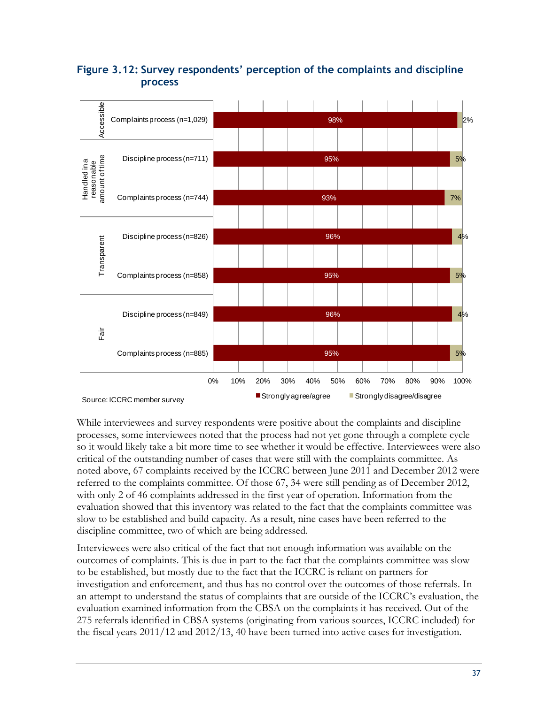

#### <span id="page-48-0"></span>**Figure 3.12: Survey respondents' perception of the complaints and discipline process**

While interviewees and survey respondents were positive about the complaints and discipline processes, some interviewees noted that the process had not yet gone through a complete cycle so it would likely take a bit more time to see whether it would be effective. Interviewees were also critical of the outstanding number of cases that were still with the complaints committee. As noted above, 67 complaints received by the ICCRC between June 2011 and December 2012 were referred to the complaints committee. Of those 67, 34 were still pending as of December 2012, with only 2 of 46 complaints addressed in the first year of operation. Information from the evaluation showed that this inventory was related to the fact that the complaints committee was slow to be established and build capacity. As a result, nine cases have been referred to the discipline committee, two of which are being addressed.

Interviewees were also critical of the fact that not enough information was available on the outcomes of complaints. This is due in part to the fact that the complaints committee was slow to be established, but mostly due to the fact that the ICCRC is reliant on partners for investigation and enforcement, and thus has no control over the outcomes of those referrals. In an attempt to understand the status of complaints that are outside of the ICCRC's evaluation, the evaluation examined information from the CBSA on the complaints it has received. Out of the 275 referrals identified in CBSA systems (originating from various sources, ICCRC included) for the fiscal years 2011/12 and 2012/13, 40 have been turned into active cases for investigation.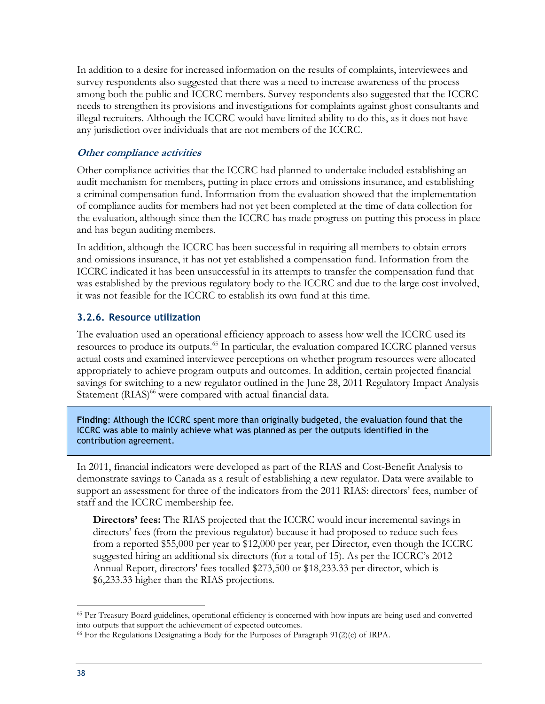In addition to a desire for increased information on the results of complaints, interviewees and survey respondents also suggested that there was a need to increase awareness of the process among both the public and ICCRC members. Survey respondents also suggested that the ICCRC needs to strengthen its provisions and investigations for complaints against ghost consultants and illegal recruiters. Although the ICCRC would have limited ability to do this, as it does not have any jurisdiction over individuals that are not members of the ICCRC.

#### **Other compliance activities**

Other compliance activities that the ICCRC had planned to undertake included establishing an audit mechanism for members, putting in place errors and omissions insurance, and establishing a criminal compensation fund. Information from the evaluation showed that the implementation of compliance audits for members had not yet been completed at the time of data collection for the evaluation, although since then the ICCRC has made progress on putting this process in place and has begun auditing members.

In addition, although the ICCRC has been successful in requiring all members to obtain errors and omissions insurance, it has not yet established a compensation fund. Information from the ICCRC indicated it has been unsuccessful in its attempts to transfer the compensation fund that was established by the previous regulatory body to the ICCRC and due to the large cost involved, it was not feasible for the ICCRC to establish its own fund at this time.

#### <span id="page-49-0"></span>**3.2.6. Resource utilization**

The evaluation used an operational efficiency approach to assess how well the ICCRC used its resources to produce its outputs.<sup>65</sup> In particular, the evaluation compared ICCRC planned versus actual costs and examined interviewee perceptions on whether program resources were allocated appropriately to achieve program outputs and outcomes. In addition, certain projected financial savings for switching to a new regulator outlined in the June 28, 2011 Regulatory Impact Analysis Statement (RIAS)<sup>66</sup> were compared with actual financial data.

**Finding**: Although the ICCRC spent more than originally budgeted, the evaluation found that the ICCRC was able to mainly achieve what was planned as per the outputs identified in the contribution agreement.

In 2011, financial indicators were developed as part of the RIAS and Cost-Benefit Analysis to demonstrate savings to Canada as a result of establishing a new regulator. Data were available to support an assessment for three of the indicators from the 2011 RIAS: directors' fees, number of staff and the ICCRC membership fee.

**Directors' fees:** The RIAS projected that the ICCRC would incur incremental savings in directors' fees (from the previous regulator) because it had proposed to reduce such fees from a reported \$55,000 per year to \$12,000 per year, per Director, even though the ICCRC suggested hiring an additional six directors (for a total of 15). As per the ICCRC's 2012 Annual Report, directors' fees totalled \$273,500 or \$18,233.33 per director, which is \$6,233.33 higher than the RIAS projections.

<sup>65</sup> Per Treasury Board guidelines, operational efficiency is concerned with how inputs are being used and converted into outputs that support the achievement of expected outcomes.

 $66$  For the Regulations Designating a Body for the Purposes of Paragraph  $91(2)(c)$  of IRPA.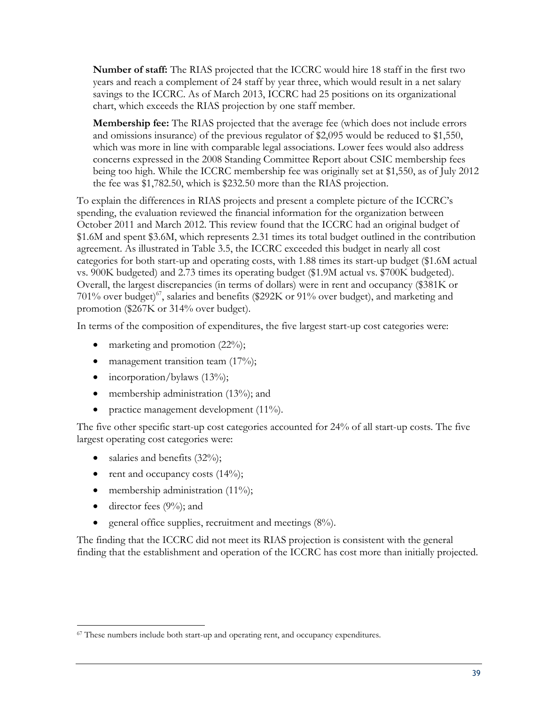**Number of staff:** The RIAS projected that the ICCRC would hire 18 staff in the first two years and reach a complement of 24 staff by year three, which would result in a net salary savings to the ICCRC. As of March 2013, ICCRC had 25 positions on its organizational chart, which exceeds the RIAS projection by one staff member.

**Membership fee:** The RIAS projected that the average fee (which does not include errors and omissions insurance) of the previous regulator of \$2,095 would be reduced to \$1,550, which was more in line with comparable legal associations. Lower fees would also address concerns expressed in the 2008 Standing Committee Report about CSIC membership fees being too high. While the ICCRC membership fee was originally set at \$1,550, as of July 2012 the fee was \$1,782.50, which is \$232.50 more than the RIAS projection.

To explain the differences in RIAS projects and present a complete picture of the ICCRC's spending, the evaluation reviewed the financial information for the organization between October 2011 and March 2012. This review found that the ICCRC had an original budget of \$1.6M and spent \$3.6M, which represents 2.31 times its total budget outlined in the contribution agreement. As illustrated in Table 3.5, the ICCRC exceeded this budget in nearly all cost categories for both start-up and operating costs, with 1.88 times its start-up budget (\$1.6M actual vs. 900K budgeted) and 2.73 times its operating budget (\$1.9M actual vs. \$700K budgeted). Overall, the largest discrepancies (in terms of dollars) were in rent and occupancy (\$381K or 701% over budget)<sup>67</sup>, salaries and benefits (\$292K or 91% over budget), and marketing and promotion (\$267K or 314% over budget).

In terms of the composition of expenditures, the five largest start-up cost categories were:

- marketing and promotion  $(22\%)$ ;
- management transition team  $(17\%)$ ;
- $\bullet$  incorporation/bylaws (13%);
- membership administration (13%); and
- practice management development (11%).

The five other specific start-up cost categories accounted for 24% of all start-up costs. The five largest operating cost categories were:

- salaries and benefits  $(32\%)$ ;
- rent and occupancy costs  $(14\%)$ ;
- membership administration  $(11\%)$ ;
- $\bullet$  director fees (9%); and
- general office supplies, recruitment and meetings (8%).

The finding that the ICCRC did not meet its RIAS projection is consistent with the general finding that the establishment and operation of the ICCRC has cost more than initially projected.

 $\overline{a}$ <sup>67</sup> These numbers include both start-up and operating rent, and occupancy expenditures.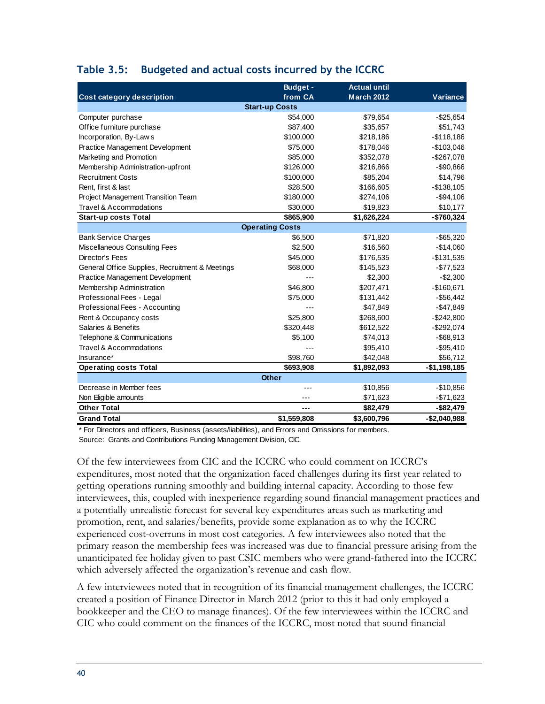|                                                 | <b>Budget -</b>        | <b>Actual until</b> |               |  |  |  |  |
|-------------------------------------------------|------------------------|---------------------|---------------|--|--|--|--|
| Cost category description                       | from CA                | <b>March 2012</b>   | Variance      |  |  |  |  |
|                                                 | <b>Start-up Costs</b>  |                     |               |  |  |  |  |
| Computer purchase                               | \$54,000               | \$79,654            | $-$25,654$    |  |  |  |  |
| Office furniture purchase                       | \$87,400               | \$35,657            | \$51,743      |  |  |  |  |
| Incorporation, By-Laws                          | \$100,000              | \$218,186           | $-$118,186$   |  |  |  |  |
| Practice Management Development                 | \$75,000               | \$178,046           | $-$103,046$   |  |  |  |  |
| Marketing and Promotion                         | \$85,000               | \$352,078           | -\$267,078    |  |  |  |  |
| Membership Administration-upfront               | \$126,000              | \$216,866           | -\$90,866     |  |  |  |  |
| <b>Recruitment Costs</b>                        | \$100,000              | \$85,204            | \$14,796      |  |  |  |  |
| Rent, first & last                              | \$28,500               | \$166,605           | $-$138,105$   |  |  |  |  |
| Project Management Transition Team              | \$180,000              | \$274,106           | $-$94,106$    |  |  |  |  |
| Travel & Accommodations                         | \$30,000               | \$19,823            | \$10,177      |  |  |  |  |
| <b>Start-up costs Total</b>                     | \$865,900              | \$1,626,224         | -\$760,324    |  |  |  |  |
|                                                 | <b>Operating Costs</b> |                     |               |  |  |  |  |
| <b>Bank Service Charges</b>                     | \$6,500                | \$71,820            | $-$ \$65,320  |  |  |  |  |
| <b>Miscellaneous Consulting Fees</b>            | \$2,500                | \$16,560            | $-$14,060$    |  |  |  |  |
| Director's Fees                                 | \$45,000               | \$176,535           | -\$131,535    |  |  |  |  |
| General Office Supplies, Recruitment & Meetings | \$68,000               | \$145,523           | $-$77,523$    |  |  |  |  |
| Practice Management Development                 |                        | \$2,300             | $-$2,300$     |  |  |  |  |
| Membership Administration                       | \$46,800               | \$207,471           | $-$160,671$   |  |  |  |  |
| Professional Fees - Legal                       | \$75,000               | \$131,442           | $-$56,442$    |  |  |  |  |
| Professional Fees - Accounting                  |                        | \$47,849            | $-$47,849$    |  |  |  |  |
| Rent & Occupancy costs                          | \$25,800               | \$268,600           | $-$242,800$   |  |  |  |  |
| Salaries & Benefits                             | \$320,448              | \$612,522           | $-$292,074$   |  |  |  |  |
| Telephone & Communications                      | \$5,100                | \$74,013            | $-$ \$68,913  |  |  |  |  |
| <b>Travel &amp; Accommodations</b>              |                        | \$95,410            | $-$ \$95,410  |  |  |  |  |
| Insurance*                                      | \$98,760               | \$42,048            | \$56,712      |  |  |  |  |
| <b>Operating costs Total</b>                    | \$693,908              | \$1,892,093         | $-$1,198,185$ |  |  |  |  |
|                                                 | <b>Other</b>           |                     |               |  |  |  |  |
| Decrease in Member fees                         |                        | \$10,856            | $-$10,856$    |  |  |  |  |
| Non Eligible amounts                            | ---                    | \$71,623            | $-$ \$71,623  |  |  |  |  |
| <b>Other Total</b>                              | ---                    | \$82,479            | -\$82,479     |  |  |  |  |
| <b>Grand Total</b>                              | \$1,559,808            | \$3,600,796         | $-$2,040,988$ |  |  |  |  |

#### <span id="page-51-0"></span>**Table 3.5: Budgeted and actual costs incurred by the ICCRC**

\* For Directors and officers, Business (assets/liabilities), and Errors and Omissions for members. Source: Grants and Contributions Funding Management Division, CIC.

Of the few interviewees from CIC and the ICCRC who could comment on ICCRC's expenditures, most noted that the organization faced challenges during its first year related to getting operations running smoothly and building internal capacity. According to those few interviewees, this, coupled with inexperience regarding sound financial management practices and a potentially unrealistic forecast for several key expenditures areas such as marketing and promotion, rent, and salaries/benefits, provide some explanation as to why the ICCRC experienced cost-overruns in most cost categories. A few interviewees also noted that the primary reason the membership fees was increased was due to financial pressure arising from the unanticipated fee holiday given to past CSIC members who were grand-fathered into the ICCRC which adversely affected the organization's revenue and cash flow.

A few interviewees noted that in recognition of its financial management challenges, the ICCRC created a position of Finance Director in March 2012 (prior to this it had only employed a bookkeeper and the CEO to manage finances). Of the few interviewees within the ICCRC and CIC who could comment on the finances of the ICCRC, most noted that sound financial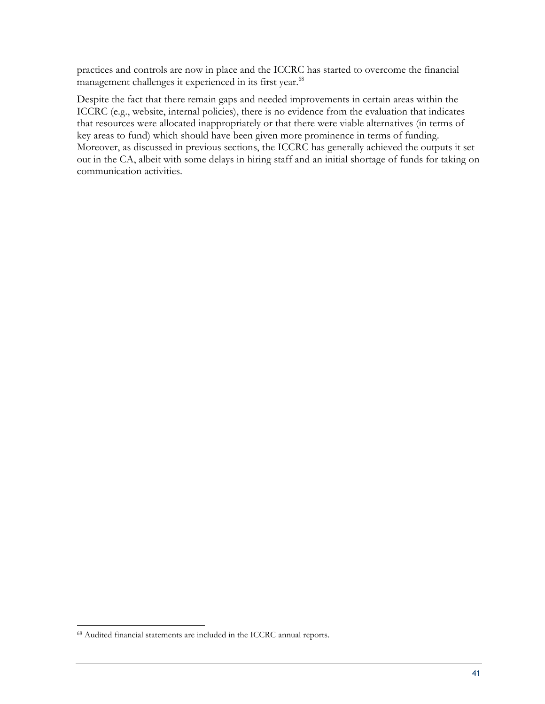practices and controls are now in place and the ICCRC has started to overcome the financial management challenges it experienced in its first year.<sup>68</sup>

Despite the fact that there remain gaps and needed improvements in certain areas within the ICCRC (e.g., website, internal policies), there is no evidence from the evaluation that indicates that resources were allocated inappropriately or that there were viable alternatives (in terms of key areas to fund) which should have been given more prominence in terms of funding. Moreover, as discussed in previous sections, the ICCRC has generally achieved the outputs it set out in the CA, albeit with some delays in hiring staff and an initial shortage of funds for taking on communication activities.

<sup>68</sup> Audited financial statements are included in the ICCRC annual reports.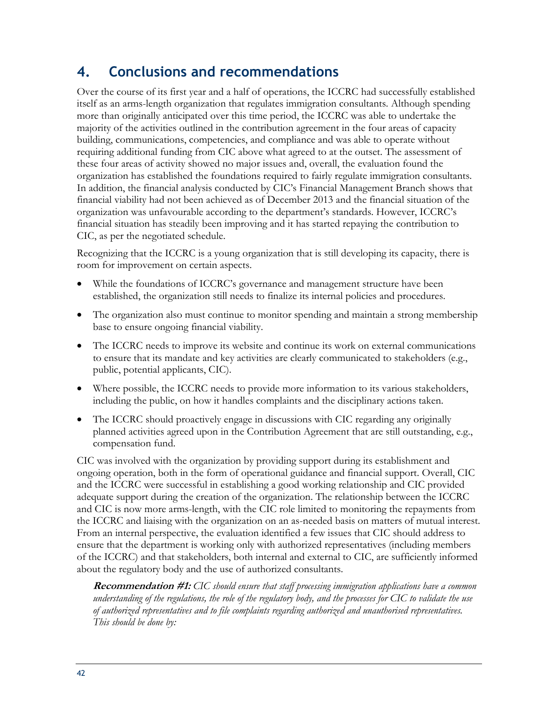### <span id="page-53-0"></span>**4. Conclusions and recommendations**

Over the course of its first year and a half of operations, the ICCRC had successfully established itself as an arms-length organization that regulates immigration consultants. Although spending more than originally anticipated over this time period, the ICCRC was able to undertake the majority of the activities outlined in the contribution agreement in the four areas of capacity building, communications, competencies, and compliance and was able to operate without requiring additional funding from CIC above what agreed to at the outset. The assessment of these four areas of activity showed no major issues and, overall, the evaluation found the organization has established the foundations required to fairly regulate immigration consultants. In addition, the financial analysis conducted by CIC's Financial Management Branch shows that financial viability had not been achieved as of December 2013 and the financial situation of the organization was unfavourable according to the department's standards. However, ICCRC's financial situation has steadily been improving and it has started repaying the contribution to CIC, as per the negotiated schedule.

Recognizing that the ICCRC is a young organization that is still developing its capacity, there is room for improvement on certain aspects.

- While the foundations of ICCRC's governance and management structure have been established, the organization still needs to finalize its internal policies and procedures.
- The organization also must continue to monitor spending and maintain a strong membership base to ensure ongoing financial viability.
- The ICCRC needs to improve its website and continue its work on external communications to ensure that its mandate and key activities are clearly communicated to stakeholders (e.g., public, potential applicants, CIC).
- Where possible, the ICCRC needs to provide more information to its various stakeholders, including the public, on how it handles complaints and the disciplinary actions taken.
- The ICCRC should proactively engage in discussions with CIC regarding any originally planned activities agreed upon in the Contribution Agreement that are still outstanding, e.g., compensation fund.

CIC was involved with the organization by providing support during its establishment and ongoing operation, both in the form of operational guidance and financial support. Overall, CIC and the ICCRC were successful in establishing a good working relationship and CIC provided adequate support during the creation of the organization. The relationship between the ICCRC and CIC is now more arms-length, with the CIC role limited to monitoring the repayments from the ICCRC and liaising with the organization on an as-needed basis on matters of mutual interest. From an internal perspective, the evaluation identified a few issues that CIC should address to ensure that the department is working only with authorized representatives (including members of the ICCRC) and that stakeholders, both internal and external to CIC, are sufficiently informed about the regulatory body and the use of authorized consultants.

**Recommendation #1:** *CIC should ensure that staff processing immigration applications have a common understanding of the regulations, the role of the regulatory body, and the processes for CIC to validate the use of authorized representatives and to file complaints regarding authorized and unauthorised representatives. This should be done by:*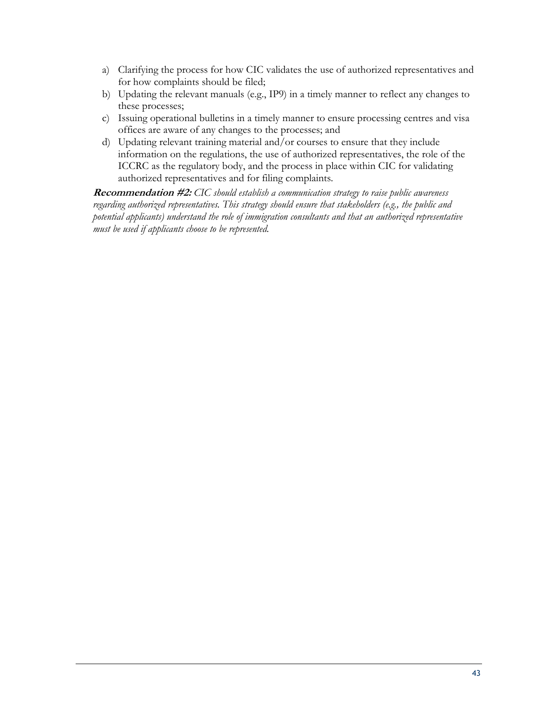- a) Clarifying the process for how CIC validates the use of authorized representatives and for how complaints should be filed;
- b) Updating the relevant manuals (e.g., IP9) in a timely manner to reflect any changes to these processes;
- c) Issuing operational bulletins in a timely manner to ensure processing centres and visa offices are aware of any changes to the processes; and
- d) Updating relevant training material and/or courses to ensure that they include information on the regulations, the use of authorized representatives, the role of the ICCRC as the regulatory body, and the process in place within CIC for validating authorized representatives and for filing complaints.

**Recommendation #2:** *CIC should establish a communication strategy to raise public awareness regarding authorized representatives. This strategy should ensure that stakeholders (e.g., the public and potential applicants) understand the role of immigration consultants and that an authorized representative must be used if applicants choose to be represented.*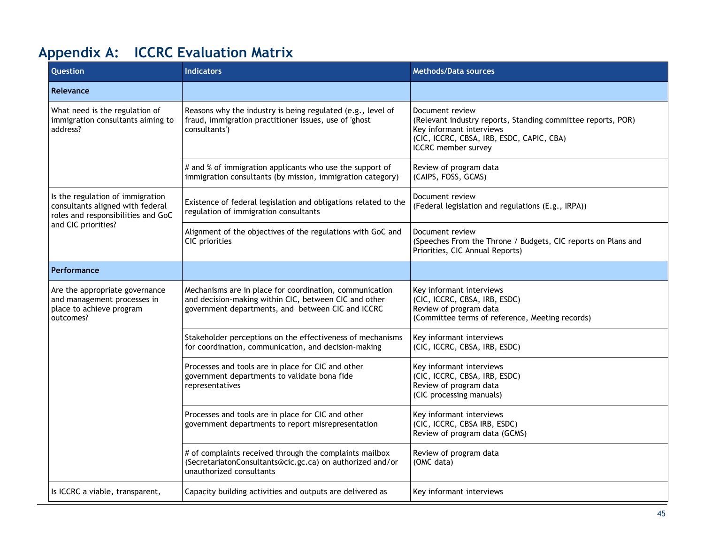## **Appendix A: ICCRC Evaluation Matrix**

<span id="page-56-0"></span>

| Question                                                                                                   | <b>Indicators</b>                                                                                                                                                     | <b>Methods/Data sources</b>                                                                                                                                                            |
|------------------------------------------------------------------------------------------------------------|-----------------------------------------------------------------------------------------------------------------------------------------------------------------------|----------------------------------------------------------------------------------------------------------------------------------------------------------------------------------------|
| Relevance                                                                                                  |                                                                                                                                                                       |                                                                                                                                                                                        |
| What need is the regulation of<br>immigration consultants aiming to<br>address?                            | Reasons why the industry is being regulated (e.g., level of<br>fraud, immigration practitioner issues, use of 'ghost<br>consultants')                                 | Document review<br>(Relevant industry reports, Standing committee reports, POR)<br>Key informant interviews<br>(CIC, ICCRC, CBSA, IRB, ESDC, CAPIC, CBA)<br><b>ICCRC</b> member survey |
|                                                                                                            | # and % of immigration applicants who use the support of<br>immigration consultants (by mission, immigration category)                                                | Review of program data<br>(CAIPS, FOSS, GCMS)                                                                                                                                          |
| Is the regulation of immigration<br>consultants aligned with federal<br>roles and responsibilities and GoC | Existence of federal legislation and obligations related to the<br>regulation of immigration consultants                                                              | Document review<br>(Federal legislation and regulations (E.g., IRPA))                                                                                                                  |
| and CIC priorities?                                                                                        | Alignment of the objectives of the regulations with GoC and<br>CIC priorities                                                                                         | Document review<br>(Speeches From the Throne / Budgets, CIC reports on Plans and<br>Priorities, CIC Annual Reports)                                                                    |
| Performance                                                                                                |                                                                                                                                                                       |                                                                                                                                                                                        |
| Are the appropriate governance<br>and management processes in<br>place to achieve program<br>outcomes?     | Mechanisms are in place for coordination, communication<br>and decision-making within CIC, between CIC and other<br>government departments, and between CIC and ICCRC | Key informant interviews<br>(CIC, ICCRC, CBSA, IRB, ESDC)<br>Review of program data<br>(Committee terms of reference, Meeting records)                                                 |
|                                                                                                            | Stakeholder perceptions on the effectiveness of mechanisms<br>for coordination, communication, and decision-making                                                    | Key informant interviews<br>(CIC, ICCRC, CBSA, IRB, ESDC)                                                                                                                              |
|                                                                                                            | Processes and tools are in place for CIC and other<br>government departments to validate bona fide<br>representatives                                                 | Key informant interviews<br>(CIC, ICCRC, CBSA, IRB, ESDC)<br>Review of program data<br>(CIC processing manuals)                                                                        |
|                                                                                                            | Processes and tools are in place for CIC and other<br>government departments to report misrepresentation                                                              | Key informant interviews<br>(CIC, ICCRC, CBSA IRB, ESDC)<br>Review of program data (GCMS)                                                                                              |
|                                                                                                            | # of complaints received through the complaints mailbox<br>(SecretariatonConsultants@cic.gc.ca) on authorized and/or<br>unauthorized consultants                      | Review of program data<br>(OMC data)                                                                                                                                                   |
| Is ICCRC a viable, transparent,                                                                            | Capacity building activities and outputs are delivered as                                                                                                             | Key informant interviews                                                                                                                                                               |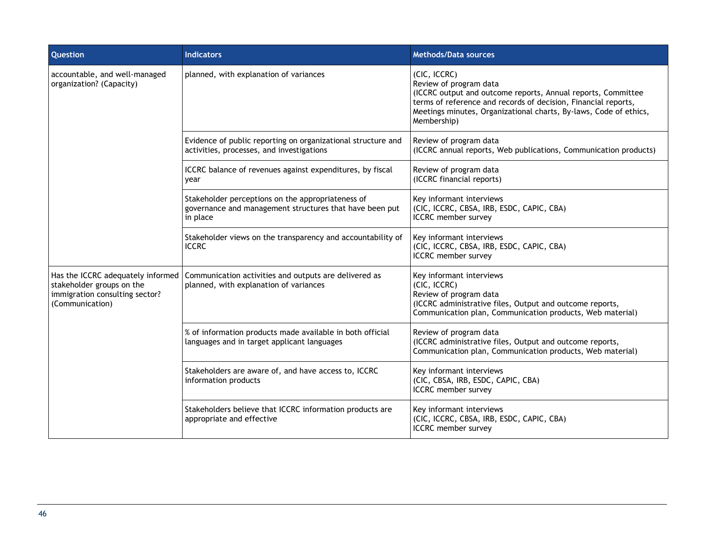| Question                                                                                                            | <b>Indicators</b>                                                                                                        | <b>Methods/Data sources</b>                                                                                                                                                                                                                                  |
|---------------------------------------------------------------------------------------------------------------------|--------------------------------------------------------------------------------------------------------------------------|--------------------------------------------------------------------------------------------------------------------------------------------------------------------------------------------------------------------------------------------------------------|
| accountable, and well-managed<br>organization? (Capacity)                                                           | planned, with explanation of variances                                                                                   | (CIC, ICCRC)<br>Review of program data<br>(ICCRC output and outcome reports, Annual reports, Committee<br>terms of reference and records of decision, Financial reports,<br>Meetings minutes, Organizational charts, By-laws, Code of ethics,<br>Membership) |
|                                                                                                                     | Evidence of public reporting on organizational structure and<br>activities, processes, and investigations                | Review of program data<br>(ICCRC annual reports, Web publications, Communication products)                                                                                                                                                                   |
|                                                                                                                     | ICCRC balance of revenues against expenditures, by fiscal<br>year                                                        | Review of program data<br>(ICCRC financial reports)                                                                                                                                                                                                          |
|                                                                                                                     | Stakeholder perceptions on the appropriateness of<br>governance and management structures that have been put<br>in place | Key informant interviews<br>(CIC, ICCRC, CBSA, IRB, ESDC, CAPIC, CBA)<br>ICCRC member survey                                                                                                                                                                 |
|                                                                                                                     | Stakeholder views on the transparency and accountability of<br><b>ICCRC</b>                                              | Key informant interviews<br>(CIC, ICCRC, CBSA, IRB, ESDC, CAPIC, CBA)<br><b>ICCRC</b> member survey                                                                                                                                                          |
| Has the ICCRC adequately informed<br>stakeholder groups on the<br>immigration consulting sector?<br>(Communication) | Communication activities and outputs are delivered as<br>planned, with explanation of variances                          | Key informant interviews<br>(CIC, ICCRC)<br>Review of program data<br>(ICCRC administrative files, Output and outcome reports,<br>Communication plan, Communication products, Web material)                                                                  |
|                                                                                                                     | % of information products made available in both official<br>languages and in target applicant languages                 | Review of program data<br>(ICCRC administrative files, Output and outcome reports,<br>Communication plan, Communication products, Web material)                                                                                                              |
|                                                                                                                     | Stakeholders are aware of, and have access to, ICCRC<br>information products                                             | Key informant interviews<br>(CIC, CBSA, IRB, ESDC, CAPIC, CBA)<br><b>ICCRC</b> member survey                                                                                                                                                                 |
|                                                                                                                     | Stakeholders believe that ICCRC information products are<br>appropriate and effective                                    | Key informant interviews<br>(CIC, ICCRC, CBSA, IRB, ESDC, CAPIC, CBA)<br><b>ICCRC</b> member survey                                                                                                                                                          |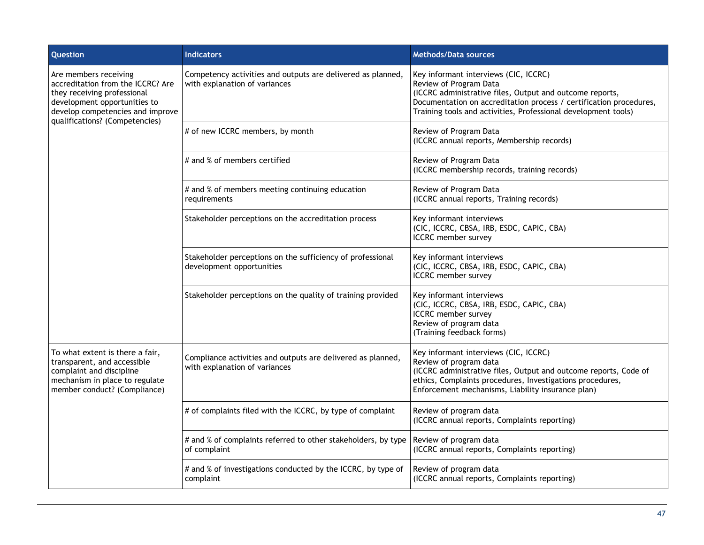| Question                                                                                                                                                                                        | <b>Indicators</b>                                                                            | <b>Methods/Data sources</b>                                                                                                                                                                                                                                         |
|-------------------------------------------------------------------------------------------------------------------------------------------------------------------------------------------------|----------------------------------------------------------------------------------------------|---------------------------------------------------------------------------------------------------------------------------------------------------------------------------------------------------------------------------------------------------------------------|
| Are members receiving<br>accreditation from the ICCRC? Are<br>they receiving professional<br>development opportunities to<br>develop competencies and improve<br>qualifications? (Competencies) | Competency activities and outputs are delivered as planned,<br>with explanation of variances | Key informant interviews (CIC, ICCRC)<br>Review of Program Data<br>(ICCRC administrative files, Output and outcome reports,<br>Documentation on accreditation process / certification procedures,<br>Training tools and activities, Professional development tools) |
|                                                                                                                                                                                                 | # of new ICCRC members, by month                                                             | Review of Program Data<br>(ICCRC annual reports, Membership records)                                                                                                                                                                                                |
|                                                                                                                                                                                                 | # and % of members certified                                                                 | Review of Program Data<br>(ICCRC membership records, training records)                                                                                                                                                                                              |
|                                                                                                                                                                                                 | # and % of members meeting continuing education<br>requirements                              | Review of Program Data<br>(ICCRC annual reports, Training records)                                                                                                                                                                                                  |
|                                                                                                                                                                                                 | Stakeholder perceptions on the accreditation process                                         | Key informant interviews<br>(CIC, ICCRC, CBSA, IRB, ESDC, CAPIC, CBA)<br><b>ICCRC</b> member survey                                                                                                                                                                 |
|                                                                                                                                                                                                 | Stakeholder perceptions on the sufficiency of professional<br>development opportunities      | Key informant interviews<br>(CIC, ICCRC, CBSA, IRB, ESDC, CAPIC, CBA)<br><b>ICCRC</b> member survey                                                                                                                                                                 |
|                                                                                                                                                                                                 | Stakeholder perceptions on the quality of training provided                                  | Key informant interviews<br>(CIC, ICCRC, CBSA, IRB, ESDC, CAPIC, CBA)<br>ICCRC member survey<br>Review of program data<br>(Training feedback forms)                                                                                                                 |
| To what extent is there a fair,<br>transparent, and accessible<br>complaint and discipline<br>mechanism in place to regulate<br>member conduct? (Compliance)                                    | Compliance activities and outputs are delivered as planned,<br>with explanation of variances | Key informant interviews (CIC, ICCRC)<br>Review of program data<br>(ICCRC administrative files, Output and outcome reports, Code of<br>ethics, Complaints procedures, Investigations procedures,<br>Enforcement mechanisms, Liability insurance plan)               |
|                                                                                                                                                                                                 | # of complaints filed with the ICCRC, by type of complaint                                   | Review of program data<br>(ICCRC annual reports, Complaints reporting)                                                                                                                                                                                              |
|                                                                                                                                                                                                 | # and % of complaints referred to other stakeholders, by type<br>of complaint                | Review of program data<br>(ICCRC annual reports, Complaints reporting)                                                                                                                                                                                              |
|                                                                                                                                                                                                 | # and % of investigations conducted by the ICCRC, by type of<br>complaint                    | Review of program data<br>(ICCRC annual reports, Complaints reporting)                                                                                                                                                                                              |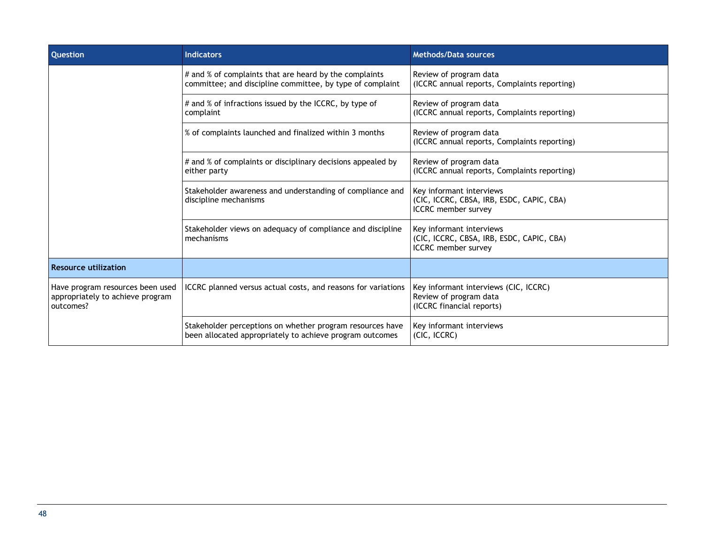| <b>Question</b>                                                                   | <b>Indicators</b>                                                                                                     | <b>Methods/Data sources</b>                                                                         |
|-----------------------------------------------------------------------------------|-----------------------------------------------------------------------------------------------------------------------|-----------------------------------------------------------------------------------------------------|
|                                                                                   | # and % of complaints that are heard by the complaints<br>committee; and discipline committee, by type of complaint   | Review of program data<br>(ICCRC annual reports, Complaints reporting)                              |
|                                                                                   | # and % of infractions issued by the ICCRC, by type of<br>complaint                                                   | Review of program data<br>(ICCRC annual reports, Complaints reporting)                              |
|                                                                                   | % of complaints launched and finalized within 3 months                                                                | Review of program data<br>(ICCRC annual reports, Complaints reporting)                              |
|                                                                                   | # and % of complaints or disciplinary decisions appealed by<br>either party                                           | Review of program data<br>(ICCRC annual reports, Complaints reporting)                              |
|                                                                                   | Stakeholder awareness and understanding of compliance and<br>discipline mechanisms                                    | Key informant interviews<br>(CIC, ICCRC, CBSA, IRB, ESDC, CAPIC, CBA)<br><b>ICCRC</b> member survey |
|                                                                                   | Stakeholder views on adequacy of compliance and discipline<br>mechanisms                                              | Key informant interviews<br>(CIC, ICCRC, CBSA, IRB, ESDC, CAPIC, CBA)<br><b>ICCRC</b> member survey |
| <b>Resource utilization</b>                                                       |                                                                                                                       |                                                                                                     |
| Have program resources been used<br>appropriately to achieve program<br>outcomes? | ICCRC planned versus actual costs, and reasons for variations                                                         | Key informant interviews (CIC, ICCRC)<br>Review of program data<br>(ICCRC financial reports)        |
|                                                                                   | Stakeholder perceptions on whether program resources have<br>been allocated appropriately to achieve program outcomes | Key informant interviews<br>(CIC, ICCRC)                                                            |